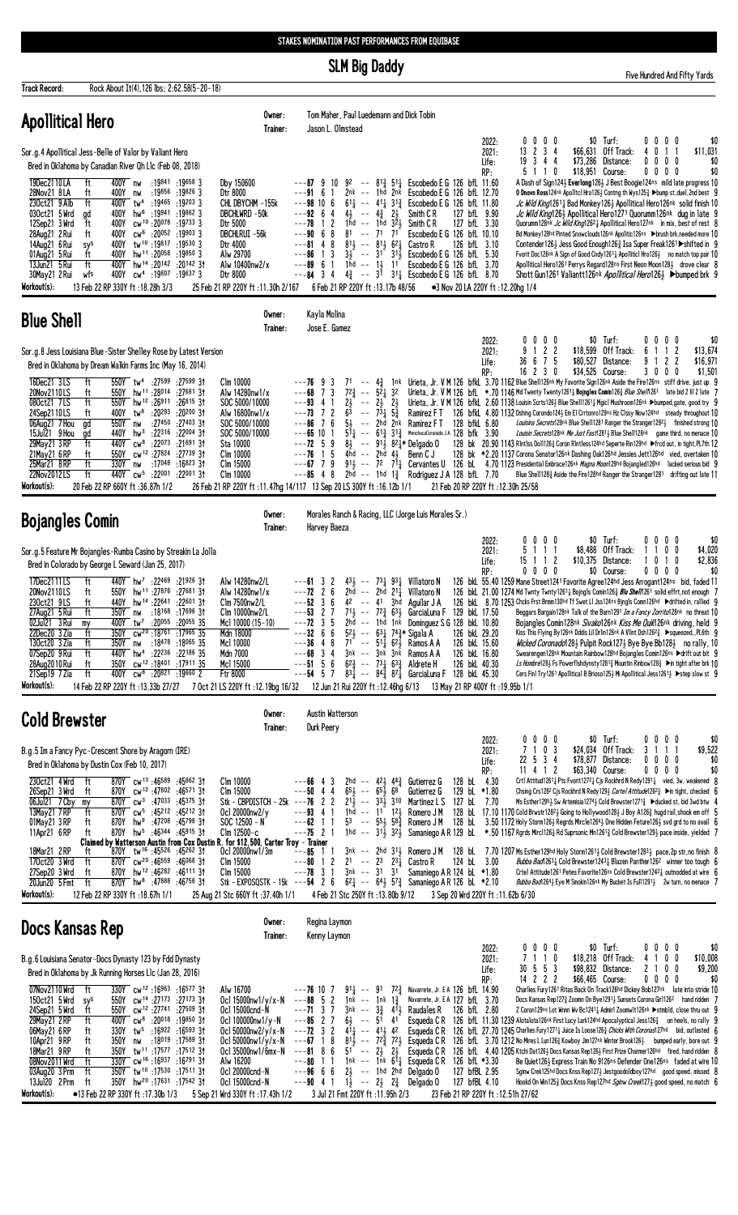**SLM Big Daddy** 

**Track Record:** Rock About It(4), 126 lbs; 2:62.58(5-20-18)

dred And Fifty Yards

| <b>Apollitical Hero</b>                                                                                                                                                                                                                                                                                                                                                                                                                                                                                                                                                                                                                                                                                                                                                                                                                                                                                                                                                                       | Owner:<br>Trainer:                                                                                                                                              | Tom Maher, Paul Luedemann and Dick Tobin<br>Jason L. Olmstead                                                                                                                                                                                                                                                                                                                                                                                                                                                                                                                                                                                                                                                                                                                                                                                                                                                                                                                                                                                                                                                                                                                                                                                                                                                                                                                                                                                                                                                                                                                                                                                                                                                                                                                                                                                                                                                                                                                                                                                                                                                                                                                                       |                                                                                                      |
|-----------------------------------------------------------------------------------------------------------------------------------------------------------------------------------------------------------------------------------------------------------------------------------------------------------------------------------------------------------------------------------------------------------------------------------------------------------------------------------------------------------------------------------------------------------------------------------------------------------------------------------------------------------------------------------------------------------------------------------------------------------------------------------------------------------------------------------------------------------------------------------------------------------------------------------------------------------------------------------------------|-----------------------------------------------------------------------------------------------------------------------------------------------------------------|-----------------------------------------------------------------------------------------------------------------------------------------------------------------------------------------------------------------------------------------------------------------------------------------------------------------------------------------------------------------------------------------------------------------------------------------------------------------------------------------------------------------------------------------------------------------------------------------------------------------------------------------------------------------------------------------------------------------------------------------------------------------------------------------------------------------------------------------------------------------------------------------------------------------------------------------------------------------------------------------------------------------------------------------------------------------------------------------------------------------------------------------------------------------------------------------------------------------------------------------------------------------------------------------------------------------------------------------------------------------------------------------------------------------------------------------------------------------------------------------------------------------------------------------------------------------------------------------------------------------------------------------------------------------------------------------------------------------------------------------------------------------------------------------------------------------------------------------------------------------------------------------------------------------------------------------------------------------------------------------------------------------------------------------------------------------------------------------------------------------------------------------------------------------------------------------------------|------------------------------------------------------------------------------------------------------|
| Sor.g.4 Apollitical Jess-Belle of Valor by Valiant Hero<br>Bred in Oklahoma by Canadian River Qh L1c (Feb 08, 2018)<br>19Dec2110LA<br>400Y nw<br>ft<br>:19841 :19658 3<br>Dby 150600<br>:19856 :19826 3<br>28Nov21 8LA<br>ft<br>Dtr 8000<br>400Y nw<br>230ct21 9 Alb<br>$:19^{465}:19^{203}3$<br>ft<br>400Y tw <sup>4</sup><br>030ct21 5 Wrd<br>400Y<br>:19941 :19862 3<br>hw <sup>6</sup><br>gd<br>cw <sup>10</sup> :20078:197333<br>12Sep21 3 Wrd<br>ft<br>400Y<br>Dtr 5000<br>cw <sup>6</sup> :20052 :19903 3<br>28Aug21 2 Rui<br>ft<br>400Y<br>DBCHLRUI -56k<br>tw <sup>10</sup> :19817:195303<br>14Aug21 6 Rui<br>400Y<br>Dtr 4000<br>sys<br>ft<br>hw <sup>11</sup> :20 <sup>058</sup> :19 <sup>850</sup> 3<br>01Aug21 5 Rui<br>400Y<br>Alw 29700<br>13Jun21 5 Rui<br>ft<br>400Y hw <sup>14</sup> :20142:2014231<br>30May21 2 Rui<br>400Y<br>cw <sup>4</sup> :19807 :19637 3<br>Dtr 8000<br>wfs<br>Workout(s):<br>13 Feb 22 RP 330Y ft: 18.28h 3/3<br>25 Feb 21 RP 220Y ft: 11.30h 2/167 | CHL DBYCHM -155k<br>DBCHLWRD -50k<br>Alw 10400nw2/x                                                                                                             | $$0$ Turf:<br>2022:<br>0<br>$0\,$ $0\,$ $0\,$<br>13 2 3 4<br>\$66,631 Off Track:<br>2021:<br>19 3 4 4<br>\$73,286 Distance:<br>Life:<br>5 1 1 0<br>\$18,951 Course:<br>RP:<br>$8^{13}_{4}$ 5 <sup>1</sup> <sup>1</sup> <sub>4</sub> Escobedo E G 126 bfL 11.60<br>A Dash of Sign124} Everlong126} J Best Boogie124ns mild late progress 10<br>10<br>92 --<br>9<br>---91 6<br>2nk -- 1hd 2nk Escobedo E G 126 bfL 12.70<br>O Dnovn Ross124nk Apolitcl Hro126½ Contng th Wys125½ ▶bump st, duel, 2nd best 9<br>$---98$ 10 6<br>$61\frac{1}{4}$ -- $41\frac{1}{4}$ $31\frac{3}{4}$ Escobedo E G 126 bfl 11.80<br><i>Jc Wild King</i> 1261 <sub>4</sub> Bad Monkey 126 <sub>3</sub> Apollitical Hero 126nk solid finish 10<br>$4\frac{1}{2}$ -- $4\frac{3}{4}$ $2\frac{1}{2}$<br>Jc Wild King126} Apollitical Hero1271 Quorumm126nk dug in late 9<br>---92 64<br>Smith C R<br>127 bfL 9.90<br>1hd -- 1hd $3\overline{2}$ 3<br>12<br>Quorumm128nk Jc Wild King12621 Apollitical Hero127nk in mix, best of rest 8<br>---78<br>Smith C R<br>127 bfL 3.30<br>$- - 71$ 71<br>Bd Monkey128hd Pinted Snowclouds126nk Apolitic126ns >brush brk, needed more 10<br>$---9068$<br>81<br>Escobedo E G 126 bfL 10.10<br>$---81 4 8$<br>$8^{11}$ -- $8^{11}$ $6^{21}$ Castro R<br>126 bfL 3.10<br>Contender126} Jess Good Enough126} Isa Super Freak1261▶ shifted in 9<br>1 3<br>$3\frac{1}{2}$ -- $31^{\circ}$ 31 <sup>1</sup> / <sub>2</sub> Escobedo E G 126 bfL 5.30<br>---86<br>Fvorit Doc126nk A Sign of Good Cndy1261 $\frac{1}{4}$ Apolliticl Hro126 $\frac{1}{2}$ no match top pair 10<br>Apollitical Hero1261 Perrys Regard128ns First Neon Moon1281 drove clear 8<br>1hd -- $1\frac{1}{2}$ 11<br>Escobedo E G 126 bfL 3.70<br>---89<br>61<br>$4\frac{3}{4}$ --<br>$3^1$ $3^1$ Escobedo E G 126 bfL 8.70<br>Shott Gun1261 Valiantt126nk Apollitical Hero1263 ▶ bumped brk 9<br>---84<br>34<br>6 Feb 21 RP 220Y ft:13.17b 48/56<br>•3 Nov 20 LA 220Y ft: 12.20hg 1/4                                                                                                                                                                                                                                         | 0000<br>\$0<br>0<br>4<br>11<br>\$11,031<br>$0\ 0\ 0\ 0$<br>\$0<br>\$0<br>$0\,0\,0\,0$                |
| <b>Blue Shell</b>                                                                                                                                                                                                                                                                                                                                                                                                                                                                                                                                                                                                                                                                                                                                                                                                                                                                                                                                                                             | Owner:<br>Trainer:                                                                                                                                              | Kayla Molina<br>Jose E. Gamez                                                                                                                                                                                                                                                                                                                                                                                                                                                                                                                                                                                                                                                                                                                                                                                                                                                                                                                                                                                                                                                                                                                                                                                                                                                                                                                                                                                                                                                                                                                                                                                                                                                                                                                                                                                                                                                                                                                                                                                                                                                                                                                                                                       |                                                                                                      |
| Sor.g.8 Jess Louisiana Blue-Sister Shelley Rose by Latest Version<br>Bred in Oklahoma by Dream Walkin Farms Inc (May 16, 2014)<br>16Dec21 3LS<br>ft<br>550Y tw <sup>4</sup> :27599 :27599 31<br>Clm 10000<br>hw <sup>11</sup> :28 <sup>014</sup> :27 <sup>681</sup> 31<br>20Nov2110LS<br>ft<br>550Y<br>ft<br>080ct21 7LS<br>550Y hw <sup>12</sup> :26911 :26815 31<br>:20 <sup>293</sup> :20 <sup>200</sup> 3†<br>ft<br>tw <sup>8</sup><br>24Sep2110LS<br>400Y<br>:27450 :27403 31<br>06Aug21 7 Hou<br>550Y nw<br>gd<br>15Jul21 9 Hou<br>:22316 :22004 3†<br>$440Y$ hw <sup>3</sup><br>gd<br>29May21 3RP<br>ft<br>440Y cw <sup>8</sup><br>:22 <sup>073</sup> :21 <sup>691</sup> 31<br>Sta 10000<br>21May 21 6 RP<br>3†39 27824 27739 2:<br>Clm 10000<br>ft<br>550Y<br>ft<br>25Mar21 8RP<br>330Y nw<br>:17048 :16823 3†<br>Clm 15000<br>ft<br>440Y cw <sup>5</sup> :22001 :22001 3t<br>22Nov2012LS<br>Clm 10000<br>Workout(s):<br>20 Feb 22 RP 660Y ft:36.87h 1/2                              | Alw 14280nw1/x<br>SOC 5000/10000<br>Alw 16800nw1/x<br>SOC 5000/10000<br>SOC 5000/10000                                                                          | $0\ 0\ 0\ 0$<br>$$0$ Turf:<br>2022:<br>9<br>122<br>\$18,599 Off Track:<br>2021:<br>36 6 7 5<br>\$80,527 Distance:<br>Life:<br>$16$ 2 3 0<br>\$34,525 Course:<br>RP:<br>1nk Urieta, Jr. V M 126 bfkl. 3.70 1162 Blue Shell126nk My Favorite Sign126nk Aside the Fire126ns stiff drive, just up 9<br>$---76$ 9 3<br>$71 - -$<br>$4\frac{3}{4}$<br>$--68$ 7 3<br>$\sim$ $-$<br>$5^{2}$ $1^{32}$<br>Urieta, Jr. V M 126 bfL $*$ .70 1146 Md Twenty Twenty1261 <sub>4</sub> Bojngles Comin126 <sub>4</sub> Blue Shell1261 late bid 2 111 2 late 7<br>$7^{2}\frac{3}{7}$<br>Urieta, Jr. V M 126 bfkl. 2.60 1138 Louisin Scrts126} Blue Shell1261} Mgicl Mushroom126nk >bumped.gate, good try 9<br>$---93$ 4 1<br>$2\frac{1}{2}$ --<br>$2\frac{1}{2}$ $2\frac{1}{2}$<br>$7\overline{\frac{3}{4}}$ $5\overline{\frac{3}{4}}$<br>72<br>Ramirez FT 126 bfkL 4.80 1132 Dshing Corondo1243 Em El Crrtonro129ns Hz Clssy Now124hd steady throughout 10<br>---73<br>$\sim$ $-$<br>76<br>-- 2hd 2nk Ramirez FT 128 bfkL 6.80<br>Louisina Secrets128nk Blue Shell1281 Ranger the Stranger12821 finished strong 10<br>---86<br>$51\frac{1}{4}$ -- $61\frac{3}{4}$ 31 <sup>3</sup> / <sub>2</sub> MenchacaCoronado JA 128 bfk 3.90<br>Louisin Secrets128nk Me Just Fast12813 Blue Shell128nk game third, no menace 10<br>$---65$ 10 1<br>$---72 \quad 5 \quad 9$<br>$8\frac{1}{2}$ -- $91\frac{1}{2}$ $82\frac{1}{2}$ Delgado 0<br>128 bk 20.90 1143 RIntlss Doll126½ Coron Rintless124hd Seperte Rin129hd ▶frcd out, in tight, PL7th 12<br>$--76$ 1 5<br>4hd -- $2$ hd 4 $\frac{1}{2}$<br>Benn C J<br>128 bk *2.20 1137 Corona Senator126nk Dashing Oak126hd Jessies Jett126hd vied, overtaken 10<br>$91\frac{1}{2}$ -- $7^2$ $7\frac{1}{4}$ Cervantes U 126 bL 4.70 1123 Presidential Embrace126 <sup>nk</sup> Magna Moon129 <sup>hd</sup> Bojangled126 <sup>hd</sup> lacked serious bid 9<br>$---67$ 7 9<br>$---85$ 4 8<br>$2h\bar{d}$ -- 1 <sup>hd</sup> 1 <sup>3</sup> / <sub>4</sub> Rodriguez J A 128 bfL 7.70<br>Blue Shell1283 Aside the Fire128hd Ranger the Stranger1281 drifting out late 11<br>26 Feb 21 RP 220Y ft:11.47hg 14/117 13 Sep 20 LS 300Y ft:16.12b 1/1<br>21 Feb 20 RP 220Y ft: 12.30h 25/58 | $0\ 0\ 0\ 0$<br>\$0<br>1 <sub>2</sub><br>\$13,674<br>6<br>122<br>9<br>\$16,971<br>3 0 0 0<br>\$1,501 |
| <b>Bojangles Comin</b>                                                                                                                                                                                                                                                                                                                                                                                                                                                                                                                                                                                                                                                                                                                                                                                                                                                                                                                                                                        | Owner:<br>Trainer:                                                                                                                                              | Morales Ranch & Racing, LLC (Jorge Luis Morales Sr.)<br>Harvey Baeza                                                                                                                                                                                                                                                                                                                                                                                                                                                                                                                                                                                                                                                                                                                                                                                                                                                                                                                                                                                                                                                                                                                                                                                                                                                                                                                                                                                                                                                                                                                                                                                                                                                                                                                                                                                                                                                                                                                                                                                                                                                                                                                                |                                                                                                      |
| Sor.g.5 Feature Mr Bojangles-Rumba Casino by Streakin La Jolla<br>Bred in Colorado by George L Seward (Jan 25, 2017)<br>17Dec2111LS<br>ft<br>440Y hw <sup>7</sup> :22469 :21926 31<br>20Nov2110LS<br>550Y hw <sup>11</sup> :27876 :27681 31<br>ft<br>230ct21 9LS<br>440Y hw <sup>14</sup> :22641 :22601 31<br>Clm 7500nw2/L<br>ft<br>ft<br>27Aug21 5 Rui<br>350Y nw :18168 :17696 31<br>02Jul21 3 Rui<br>400Y tw <sup>7</sup> :20 <sup>055</sup> :20 <sup>055</sup> 35<br>my<br>22Dec20 3 Zia<br>350Y cw <sup>20</sup> :18761 :17965 35<br>ft<br>Mdn 18000<br>350Y nw :18478 :18065 35<br>130ct20 3 Zia<br>ft<br>Mc1 10000<br>440Y hw <sup>4</sup> :22236 :22186 35<br>Mdn 7000<br>07Sep20 9 Rui<br>ft<br>350Y cw <sup>12</sup> :18401:1791135<br>28Aug 2010 Rui<br>ft<br>Mc1 15000<br>21Sep19 7 Zia<br>400Y cw <sup>8</sup> :20821 :19660 2<br>ft<br>Ftr 8000<br>Workout(s):                                                                                                                 | Alw 14280nw2/L<br>Alw 14280nw1/x<br>Clm 10000nw2/L<br>Mcl 10000 (15-10)                                                                                         | \$0 Turf:<br>0000<br>2022:<br>5<br>Off Track:<br>1 1 1<br>\$8,488<br>2021:<br>$15$ 1 1 2<br>\$10,375 Distance:<br>Life:<br>$0\ 0\ 0\ 0$<br>\$0 Course:<br>RP:<br>126 bkl 55.40 1259 Mane Street1241 Favorite Agree124hd Jess Arrogant124ns bid, faded 11<br>$43\frac{1}{2}$ --<br>$73\frac{1}{4}$ 93 $\frac{1}{4}$ Villatoro N<br>---61 3 2<br>$---72$ 2 6<br>$2hd$ --<br>2hd 211 Villatoro N<br>126 bkl 21.00 1274 Md Twnty Twnty 1261 <sub>4</sub> Bojngls Comin126 <sub>4</sub> Blu Shell1261 solid effrt, not enough 7<br>$---52$ 3 6<br>126 bkL 8.70 1253 Chcks Frst Brmm130hd Tf Swet L1 Jss124ns Bjngls Comn126hd >drifted in, rallied 9<br>$4^2$ -- $4^1$ 3hd Aguilar J A<br>$---53$ 2 7<br>$71\frac{1}{2}$ -- $72\frac{3}{4}$ 63 GarciaLuna F 129 bkL 17.50<br>Beggars Bargain128nk Talk of the Barn1291 <i>Im a Fancy Zorrito</i> 128nk no threat 10<br>$---72$ 3 5<br>2hd -- 1hd 1nk Dominguez S G 128 bkL 10.80<br>Boiangles Comin128nk Sivako126nk Kiss Me Quik126nk driving, held 9<br>$---326$<br>6<br>52 $\frac{1}{2}$ -- 63 $\frac{1}{4}$ 74 $\frac{3}{4}$ Sigala A<br>126 bkL 29.20<br>Kiss This Flying By126nk Dddis Lil Drlin126nk A Vlint Dsh126 <sup>2</sup> ½ ▶squeezed,,PL6th 9<br>---36 4 8 71 -- 511 621 Ramos A A<br>Wicked Coronado1281 Pulpit Rock1271 Bye Bye Bb1281 no rally, 10<br>126 bkL 15.60<br>$---68$ 3 4<br>3nk -- 3nk 3nk Ramos A A<br>126 bkL 16.80<br>Swearengen128nk Mountain Rainbow128hd Bojangles Comin126ns ▶ drift out bit 9<br>$--515$<br>6<br>$6^{2}\frac{3}{4}$ -- 731 $6^{3}\frac{3}{4}$ Aldrete H<br>Ls Hombre 128 3 Fs Powerflshdynsty 1281 3 Mountin Rinbow 128 $\rightarrow$ in tight after brk 10<br>126 bkL 40.30<br>$--54$ 5 7<br>$83\frac{1}{4}$ -- $84\frac{3}{4}$ $87\frac{1}{4}$ Garcialuna F 128 bkl 45.30<br>Cers Fin1 Try1261 Apollitical B Brioso125 Mi Apollitical Jess1261 > ▶ step slow st 9<br>1/1 Feb 22 RP 220Y ft:13.33b 27/27 7 Oct 21 LS 220Y ft:12.19bg 16/32 12 Jun 21 Rui 220Y ft:12.46hg 6/13 13 May 21 RP 400Y ft:19.95b 1/1                                                                                                                                                                                       | \$0<br>0000<br>$0\quad 0$<br>\$4,020<br>$1 \; 1$<br>\$2,836<br>0 1 0<br>$0\ 0\ 0\ 0$<br>\$0          |
| <b>Cold Brewster</b>                                                                                                                                                                                                                                                                                                                                                                                                                                                                                                                                                                                                                                                                                                                                                                                                                                                                                                                                                                          | Owner:<br>Trainer:                                                                                                                                              | Austin Watterson<br>Durk Peery                                                                                                                                                                                                                                                                                                                                                                                                                                                                                                                                                                                                                                                                                                                                                                                                                                                                                                                                                                                                                                                                                                                                                                                                                                                                                                                                                                                                                                                                                                                                                                                                                                                                                                                                                                                                                                                                                                                                                                                                                                                                                                                                                                      |                                                                                                      |
| B.g.5 Im a Fancy Pyc-Crescent Shore by Aragorn (IRE)<br>Bred in Oklahoma by Dustin Cox (Feb 10, 2017)<br>230ct21 4 Wrd<br>-ft<br>870Y cw <sup>13</sup> :46589 :45862 31<br>Clm 10000<br>26Sep21 3 Wrd<br>870Y cw <sup>12</sup> :47802:4657131<br>ft<br>Clm 15000<br>06Jul21 7 Cby<br>870Y $cw^3$ :47033 :45375 31<br>my<br>13May 21 7 RP<br>ft<br>870Y cw <sup>5</sup> :45212 :45212 31<br>870Y hw <sup>9</sup> :47208 :45798 31<br>$SOC 12500 - N$<br>01May 21 3 RP<br>ft<br>870Y hw <sup>5</sup> :46344 :45915 3t<br>$C$ lm 12500-c<br>11Apr21 6 RP<br>ft<br>Claimed by Watterson Austin from Cox Dustin R. for \$12,500, Carter Troy - Trainer<br>18Mar21 2RP<br>870Y tw <sup>16</sup> :45526:4526231<br>ft<br>170ct20 3 Wrd<br>ft<br>$870Y$ cw <sup>20</sup> :46 <sup>559</sup> :46 <sup>068</sup> 31<br>Clm 15000<br>ft<br>870Y hw <sup>12</sup> :46 <sup>282</sup> :4611131<br>27Sep20 3 Wrd<br>Clm 15000<br>20Jun20 5 Fmt<br>ft<br>870Y hw <sup>8</sup> :47888 :46758 31               | Stk - CBPDISTCH - 25k<br>Ocl 20000nw2/y<br>Ocl 20000nw1/3m<br>Stk - EXPOSQSTK - 15k ---54 2 6                                                                   | $$0$ Turf:<br>0000<br>2022:<br>7 1 0 3<br>$$24.034$ Off Track:<br>2021:<br>22 5 3 4<br>\$78,877 Distance:<br>Life:<br>$11$ 4 1 2<br>\$63.340 Course:<br>RP:<br>Crtl Attitud1261 <sub>4</sub> Pts Fvorit1272 <sub>4</sub> Cjs Rockhrd N Redy1291 <sub>4</sub> vied, 3w, weakened 8<br>2hd -- $4^2\frac{1}{2}$ $4^4\frac{3}{4}$ Gutierrez G<br>128 bL 4.30<br>---66 4<br>3<br>$65\frac{1}{2}$ --<br>$65\frac{1}{2}68$<br>$---50$ 4 4<br>Gutierrez G<br>129 bL *1.80<br>Chsing Crs128 <sup>2</sup> Cis Rockhrd N Redy129 <i>} Cartel Attitude</i> 126 <sup>2</sup> <sup>3</sup> ▶in tight, checked 6<br>$---76$ 2 2<br>$2^{1\frac{1}{2}}$ -- $3^{3\frac{1}{2}}$ 310 Martinez L S 127 bL 7.70<br>Ms Esther1295} Sw Artemisia1274} Cold Brewster1271} ▶ ducked st, bid 3wd btw 4<br>1hd $-$ 11 1 <sup>2</sup> Romero J M<br>128 bL 17.10 1170 Cold Brwstr12823 Going to Hollywood1283 J Boy A1263 hugd rail, shook em off 5<br>$---93$ 4 1<br>$53 - 55\frac{1}{2}$ $58\frac{3}{2}$<br>Romero J M 128 bL 3.50 1172 Holy Storm126 <sup>1</sup> Regrds Mircle126 <sup>4</sup> <sup>1</sup> One Hidden Feture126 <sup>1</sup> svd grd to no avail 6<br>$---62$ 1 1<br>$---75$ 2 1<br>1hd $--$ 31 $\frac{1}{2}$ 32 $\frac{1}{2}$ Samaniego A R 129 bL *.50 1167 Rgrds Mirc1126 $\frac{3}{4}$ Rd Suprsonic Mn1261 $\frac{3}{4}$ Cold Brewster1291 pace inside, yielded 7<br>3nk -- 2hd 311 Romero JM 128 bl 7.70 1207 Ms Esther129hd Holy Storm12611 Cold Brewster12831 pace, 2p str, no finish 8<br>---85 1 1<br>$---80$ 1 2<br>21 -- 23 231 Castro R<br>$124 \text{ bl}$ $3.00$<br>Bubba Bad 2631 Cold Brewster 12431 Blazen Panther 1262 winner too tough 6<br>3nk -- 31 31 Samaniego AR 124 bl *1.80<br>$---78$ 3 1<br>Crtel Attitude1261 Petes Favorite126ns Cold Brewster12421 outnodded at wire 6<br>$62\frac{1}{4}$ -- $64\frac{1}{2}$ 57 $\frac{3}{4}$ Samaniego A R 126 bl *2.10<br>Bubba Bad12643 Eye M Smokin126nk My Bucket Is Full12913 2w turn, no menace 7                                                                                                                                                                                                                                     | \$0<br>0000<br>3 1 1 1<br>\$9,522<br>$0\ 0\ 0\ 0$<br>\$0<br>\$0<br>$0\,0\,0\,0$                      |
| Workout(s):<br>12 Feb 22 RP 330Y ft: 18.67h 1/1<br>25 Aug 21 Stc 660Y ft :37.40h 1/1                                                                                                                                                                                                                                                                                                                                                                                                                                                                                                                                                                                                                                                                                                                                                                                                                                                                                                          |                                                                                                                                                                 | 4 Feb 21 Stc 250Y ft: 13.80b 9/12<br>3 Sep 20 Wrd 220Y ft: 11.62b 6/30                                                                                                                                                                                                                                                                                                                                                                                                                                                                                                                                                                                                                                                                                                                                                                                                                                                                                                                                                                                                                                                                                                                                                                                                                                                                                                                                                                                                                                                                                                                                                                                                                                                                                                                                                                                                                                                                                                                                                                                                                                                                                                                              |                                                                                                      |
| Docs Kansas Rep                                                                                                                                                                                                                                                                                                                                                                                                                                                                                                                                                                                                                                                                                                                                                                                                                                                                                                                                                                               | Owner:<br>Trainer:                                                                                                                                              | Regina Laymon<br>Kenny Laymon<br>$$0$ Turf:<br>0000<br>2022:                                                                                                                                                                                                                                                                                                                                                                                                                                                                                                                                                                                                                                                                                                                                                                                                                                                                                                                                                                                                                                                                                                                                                                                                                                                                                                                                                                                                                                                                                                                                                                                                                                                                                                                                                                                                                                                                                                                                                                                                                                                                                                                                        | \$0<br>0000                                                                                          |
| B.g.6 Louisiana Senator-Docs Dynasty 123 by Fdd Dynasty<br>Bred in Oklahoma by Jk Running Horses L1c (Jan 28, 2016)<br>07Nov2110 Wrd<br>ft<br>330Y cw <sup>12</sup> :16963:1657731<br>Alw 16700<br>150ct21 5 Wrd<br>cw <sup>14</sup> :27173 :27173 31<br>550Y<br>sys<br>ft<br>550Y cw <sup>12</sup> :27741 :27509 31<br>24Sep21 5 Wrd<br>29May 21 2 RP<br>ft<br>400Y cw <sup>8</sup> :20018 :19850 31<br>06May21 6 RP<br>tw <sup>5</sup> :16 <sup>922</sup> :16 <sup>593</sup> 31<br>ft<br>330Y<br>10Apr21 9RP<br>:18 <sup>019</sup> :17 <sup>589</sup> 3†<br>ft<br>350Y<br>nw<br>18Mar21 9RP<br>350Y tw <sup>11</sup> :17577 :17512 31<br>ft<br>08Nov2011 Wrd<br>330Y cw <sup>16</sup> :16937 :16791 31<br>ft<br>Alw 16200<br>350Y tw <sup>10</sup> :17530:1751131<br>03Aug20 3 Prm<br>ft<br>13Jul20 2 Prm<br>ft<br>350Y hw <sup>20</sup> :17631 :17542 31<br>Workout(s):<br>•13 Feb 22 RP 330Y ft: 17.30b 1/3<br>5 Sep 21 Wrd 330Y ft : 17.43h 1/2                                          | Ocl 15000nw1/y/x-N<br>Ocl 15000cnd-N<br>Ocl 100000nw1/y-N<br>Ocl 50000nw2/y/x-N<br>Ocl 50000nw1/y/x-N<br>Oc1 35000nw1/6mx-N<br>Oc1 20000cnd-N<br>Ocl 15000cnd-N | 7 1 1 0<br>\$18,218 Off Track:<br>2021:<br>30 5 5 3<br>\$98,832 Distance:<br>Life:<br>14 2 2 2<br>\$66,465 Course:<br>RP:<br>$91\frac{1}{4}$ -- 91 72 $\frac{3}{4}$ Navarrete, Jr. E A 126 bfL 14.90<br>Charlies Fury1261 Ritas Back On Track126hd Dickey Bob127nk late into stride 10<br>$---76$ 10 7<br>1nk -- 1nk 1 $\frac{3}{4}$<br>$---88$ 5 2<br>Navarrete, Jr. E A 127 bfL 3.70<br>Docs Kansas Rep1273 Zoomn On Bye12913 Sunsets Corona Girl1262 hand ridden 7<br>---71 3 7<br>$3nk$ -- $3\frac{3}{4}$ 41 Raudales R 126 bfL 2.80<br>Z Coron129ns Lot Wnnn Wv Bc1241 <sup>1</sup> Admirl Zoomwlt126nk ▶stmbld, close thru out 9<br>$--85$ 2 7<br>$6\frac{1}{2}$ -- $5^{\frac{1}{2}}$ 41<br>Esqueda CR 126 bfL 11.30 1239 Alotalota126nk First Lucy Lark124hd Apocalyptical Jess126 $\frac{3}{4}$ on heels, no rally 9<br>$---72$ 3 2<br>$4^{11}$ -- $4^{11}$ , $4^{2}$<br>Esqueda CR 126 bfL 27.70 1245 Charlies Fury 127 <sup>1</sup> Juice Is Loose 126 <sup>3</sup> Chicks With Coronas127hd bid, outlasted 6<br>$8^{11}$ -- $7^{2}$ $\frac{5}{4}$ 72 Squeda CR 126 bfl 3.70 1212 No Mires L Lun126 af Kowboy Jim127nk Winter Brook126 bumped early, bore out 9<br>$---67$ 1 8<br>51 -- 23 23 Esqueda CR 126 bfl. 4.40 1205 Ktchi Dat1263 Docs Kansas Rep1263 First Prize Charmer126hd fired, hand ridden 8<br>$---81$ 8 6<br>1nk -- 1nk $6^{11}$ Esqueda CR 126 bfL *3.30<br>---80 1 1<br>Be Quiet1263 Express Train No 9126ns Defender One126ns faded at wire 10<br>$---96666$<br>$2\frac{1}{2}$ -- 1hd 2hd Delgado 0<br>127 bfBL 2.95<br>Sginw Crek125hd Docs Knss Rep1273 Jestgoodoldboy127hd good speed, missed 8<br>$1\frac{1}{2}$ -- $2\frac{1}{2}$ $2\frac{3}{4}$ Delgado 0<br>127 bfBL 4.10<br>Hookd On Win1253 Docs Knss Rep127hd Sainw Creek1273 good speed, no match 6<br>$---90$ 4 1<br>3 Jul 21 Fmt 220Y ft: 11.95h 2/3<br>23 Feb 21 RP 220Y ft : 12.51h 27/62                                                                                                                                                                                                                                                                                                              | 4100<br>\$10,008<br>2 1 0 0<br>\$9,200<br>\$0<br>0000                                                |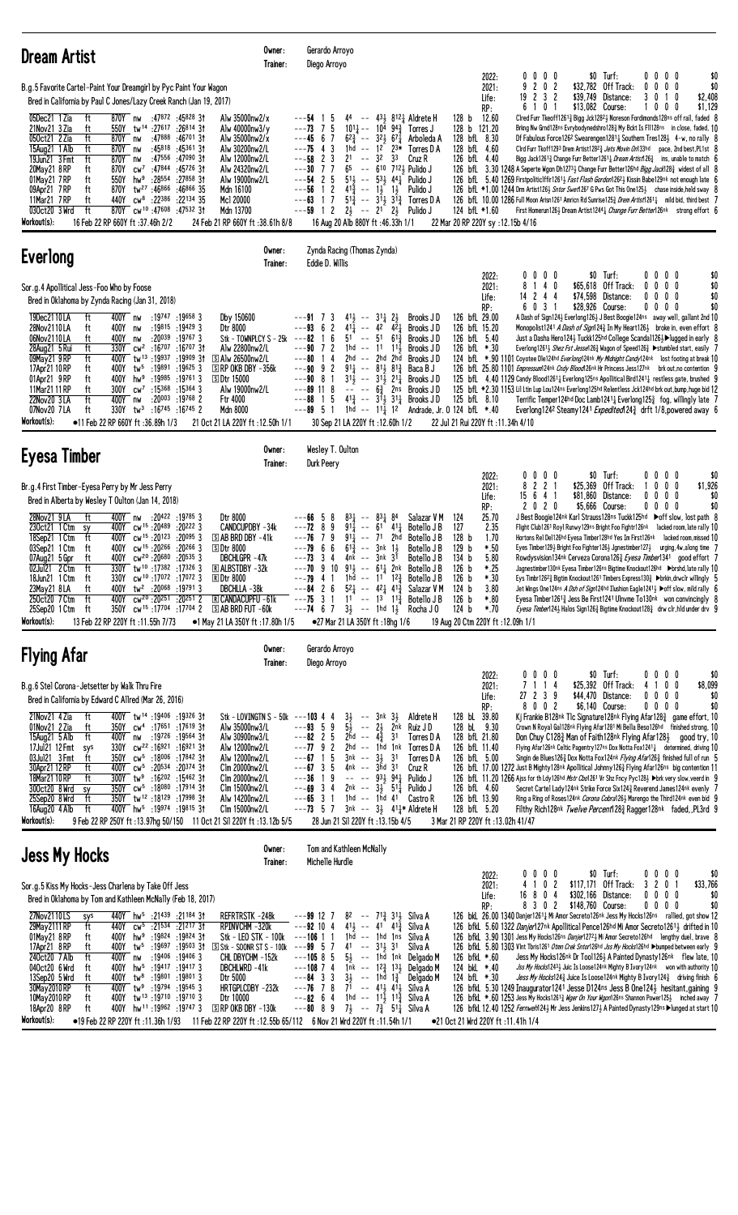| <b>Dream Artist</b>                                                                                                                                                                                                                                                                                                                                                                                                                                                                                                                                                                                                                                                                                                                                                                                                                                                                                                                                                                                                                                                                                                                     | Owner:<br>Trainer: | Gerardo Arroyo<br>Diego Arroyo                                                                                                                                                      |                                                                                                                                                                                                                                                                                                                                                                                                                                                                                             |                                                                                                                                                                                                                                                |                                                                                                                                                 |                                                 |                                                                                |                                                                                                                                                                                                                                                                                                                                                                                                                                                                                                                                                                                                                                                                                                                                                                                                                                                                                                                                                                                                                                                                                                                    |
|-----------------------------------------------------------------------------------------------------------------------------------------------------------------------------------------------------------------------------------------------------------------------------------------------------------------------------------------------------------------------------------------------------------------------------------------------------------------------------------------------------------------------------------------------------------------------------------------------------------------------------------------------------------------------------------------------------------------------------------------------------------------------------------------------------------------------------------------------------------------------------------------------------------------------------------------------------------------------------------------------------------------------------------------------------------------------------------------------------------------------------------------|--------------------|-------------------------------------------------------------------------------------------------------------------------------------------------------------------------------------|---------------------------------------------------------------------------------------------------------------------------------------------------------------------------------------------------------------------------------------------------------------------------------------------------------------------------------------------------------------------------------------------------------------------------------------------------------------------------------------------|------------------------------------------------------------------------------------------------------------------------------------------------------------------------------------------------------------------------------------------------|-------------------------------------------------------------------------------------------------------------------------------------------------|-------------------------------------------------|--------------------------------------------------------------------------------|--------------------------------------------------------------------------------------------------------------------------------------------------------------------------------------------------------------------------------------------------------------------------------------------------------------------------------------------------------------------------------------------------------------------------------------------------------------------------------------------------------------------------------------------------------------------------------------------------------------------------------------------------------------------------------------------------------------------------------------------------------------------------------------------------------------------------------------------------------------------------------------------------------------------------------------------------------------------------------------------------------------------------------------------------------------------------------------------------------------------|
| B.g.5 Favorite Cartel-Paint Your Dreamgirl by Pyc Paint Your Wagon<br>Bred in California by Paul C Jones/Lazy Creek Ranch (Jan 19, 2017)                                                                                                                                                                                                                                                                                                                                                                                                                                                                                                                                                                                                                                                                                                                                                                                                                                                                                                                                                                                                |                    |                                                                                                                                                                                     |                                                                                                                                                                                                                                                                                                                                                                                                                                                                                             |                                                                                                                                                                                                                                                | 2022:<br>2021:<br>Life:                                                                                                                         | $0\ 0\ 0\ 0$<br>9<br>202<br>19 2 3 2<br>6 1 0 1 | \$0 Turf:<br>\$32,782 Off Track:<br>\$39,749 Distance:<br>\$13,082 Course:     | $0\,0\,0\,0$<br>\$(<br>$0\,0\,0$<br>\$(<br>0<br>\$2,408<br>3<br>0 1 0<br>\$1,129<br>$0\,$ $0\,$ $0\,$                                                                                                                                                                                                                                                                                                                                                                                                                                                                                                                                                                                                                                                                                                                                                                                                                                                                                                                                                                                                              |
| 05Dec21 1 Zia<br>870Y nw<br>:47872 :45828 31<br>Alw 35000nw2/x<br>ft<br>21 Nov 21 3 Zia<br>550Y<br>tw <sup>14</sup> :27 <sup>617</sup> :26814 31<br>Alw 40000nw3/y<br>ft<br>050ct21 2 Zia<br>ft<br>870Y nw<br>:47888<br>:46 <sup>701</sup> 31<br>Alw 35000nw2/x<br>:45818<br>Alw 30200nw2/L<br>15Aug21 1 Alb<br>ft<br>870Y<br>:45361 31<br>nw<br>19Jun21 3 Fmt<br>ft<br>870Y<br>:47556<br>:47090 31<br>Alw 12000nw2/L<br>nw<br>20May21 8RP<br>870Y<br>cw <sup>7</sup> :47844<br>:45726 31<br>Alw 24320nw2/L<br>ft<br>550Y<br>hw <sup>9</sup><br>:28554<br>:27858 31<br>01May21 7RP<br>ft<br>Alw 19000nw2/L<br>870Y<br>tw <sup>27</sup> :46866<br>:46866 35<br>Mdn 16100<br>09Apr21 7RP<br>ft<br>11Mar21 7RP<br>ft<br>440Y<br>$\mathsf{cw}^8$<br>:22386<br>:22134 35<br>Mc1 20000<br>ft<br>870Y cw <sup>10</sup> :47608 :47532 31<br>030ct20 3 Wrd<br>Mdn 13700<br>Workout(s):<br>16 Feb 22 RP 660Y ft: 37.46h 2/2<br>24 Feb 21 RP 660Y ft:38.61h 8/8                                                                                                                                                                                    |                    | ---54 1<br>-5<br>$--73$ 7 5<br>$---45$ 6 7<br>43<br>---75<br>$---58$ 2 3<br>$--30$ 7 7<br>$---54$ 2 5<br>1 <sub>2</sub><br>---56<br>17<br>---63<br>$---59$ 1 2                      | 44 -- $43\frac{1}{2}$ 812 } Aldrete H<br>$10^{11}$ - $10^{\overline{4}}$ $9^{4}$ $\frac{3}{4}$ Torres J<br>$62\frac{3}{4}$ -- 321 671<br>1hd -- $12^{7}$ $23*$<br>3 <sup>2</sup><br>21<br>$\sim$ $-$<br>-33<br>$65$ -- $610$ 712 $\frac{1}{2}$ Pulido J<br>$5^{11}$ , $ 5^{31}$ , $4^{41}$ Pulido J<br>$4^{13}\overline{4}$ -- 1, 1,<br>$5^{1\frac{3}{2}}$ -- $3^{1\frac{1}{2}}$ $3^{1\frac{3}{2}}$ Torres D A<br>$2\frac{1}{2}$ -- $21$ $2\frac{1}{2}$<br>16 Aug 20 Alb 880Y ft:46.33h 1/1 | 128 <sub>b</sub><br>Arboleda A<br>Torres D A<br>Cruz R<br>Pulido J<br>Pulido J<br>22 Mar 20 RP 220Y sy:12.15b 4/16                                                                                                                             | RP:<br>12.60<br>128 b 121.20<br>128 bfL 8.30<br>128 bfL 4.60<br>126 bfL 4.40<br>124 bfL *1.60                                                   |                                                 |                                                                                | Clred Furr Tkeoff12613 Bigg Jck12823 Noreson Fordimonds128ns off rail, faded {<br>Brkng Nw Grnd128ns Evrybodynedshro1283 My Bckt Is F11128ns in close, faded, 10<br>Df Fabulous Force126 <sup>2</sup> Swearengen12811 Southern Tres1281 4-w, no rally<br>Cird Furr Tkoff1293 Drem Artist1282 <sub>3</sub> Jets Movin On133hd pace, 2nd best, PL1st {<br>Bigg Jack1261 <sup>3</sup> Change Furr Better1261 <sup>1</sup> Dream Artist126 <sup>3</sup> ins, unable to match $\epsilon$<br>126 bfl 3.30 1248 A Seperte Wgon Dh12731 Change Furr Better126hd Bigg Jack1283 widest of all &<br>126 bfl. 5.40 1269 Firstpolitic1ffir12613 <i>Fast Flash Gordon</i> 12623 Kissin Babe129nk not enough late f<br>126 bfl *1.00 1244 Drm Artist126} Sntor Swet1267 G Pws Got This One125} chase inside, held sway {<br>126 bfl. 10.00 1286 Full Moon Arisn1261 Amricn Rd Sunrise1253 Drem Artist12611 mild bid, third best 7<br>First Homerun126 $\frac{1}{2}$ Dream Artist124 <sup>4</sup> $\frac{1}{4}$ <i>Change Furr Better</i> 126 <sup>nk</sup> strong effort $\frac{1}{2}$                                            |
| <b>Everlong</b>                                                                                                                                                                                                                                                                                                                                                                                                                                                                                                                                                                                                                                                                                                                                                                                                                                                                                                                                                                                                                                                                                                                         | Owner:<br>Trainer: | Eddie D. Willis                                                                                                                                                                     | Zynda Racing (Thomas Zynda)                                                                                                                                                                                                                                                                                                                                                                                                                                                                 |                                                                                                                                                                                                                                                |                                                                                                                                                 |                                                 |                                                                                |                                                                                                                                                                                                                                                                                                                                                                                                                                                                                                                                                                                                                                                                                                                                                                                                                                                                                                                                                                                                                                                                                                                    |
| Sor.g.4 Apollitical Jess-Foo Who by Foose<br>Bred in Oklahoma by Zynda Racing (Jan 31, 2018)<br>19Dec2110LA<br>ft<br>400Y nw<br>:19747 :19658 3<br>Dby 150600<br>:19815 :19429 3<br>28Nov2110LA<br>ft<br>400Y<br>Dtr 8000<br>nw<br>400Y<br>:20039<br>:19767 3<br>06Nov2110LA<br>ft<br>Stk - TOWNPLCY S - 25k<br>nw<br>28Aug21 5 Rui<br>330Y<br>:16707:16707.31<br>ft<br>$cw^2$<br>Alw 22800nw2/L<br>tw <sup>13</sup> :19937<br>:19909 3†<br>09May21 9RP<br>ft<br>400Y<br>S Alw 26500nw2/L<br>17Apr21 10 RP<br>400Y<br>$tw^5$ :19891 :19625 3<br>$\Box$ RP OKB DBY -356k<br>ft<br>01Apr21 9RP<br>400Y hw <sup>9</sup> :19985<br>:19761 3<br>ft<br><b>SDtr 15000</b><br>ft<br>$cw^7$ :15368<br>:15364 3<br>11Mar21 11 RP<br>300Y<br>Alw 19000nw2/L<br>22Nov20 3LA<br>ft<br>$: 20^{003}$ $: 19^{768}$ 2<br>Ftr 4000<br>400Y<br>nw<br>07Nov20 7LA<br>ft<br>330Y<br>tw <sup>3</sup> :16745 :16745 2<br>Mdn 8000<br>Workout(s):<br>$\bullet$ 11 Feb 22 RP 660Y ft:36.89h 1/3<br>21 Oct 21 LA 220Y ft: 12.50h 1/1                                                                                                                              |                    | 73<br>$---93$ 6 2<br>5 <sup>1</sup><br>6<br>---82<br>-1<br>$---90$ 7 2<br>---80<br>14<br>$---90 \t 9 \t 2$<br>$---90$ 8 1<br>$---89$ 11 8<br>15<br>---88<br>$---89 \quad 5 \quad 1$ | $41\frac{1}{2}$ -- $31\frac{1}{4}$ $2\frac{1}{2}$<br>$- - 42 \overline{42}$<br>411<br>51<br>$6^{13}$<br>$\sim$ $-$<br>$1hd - 11$ $11\frac{1}{2}$<br>2hd -- 2hd 2hd<br>$91\frac{1}{4}$ -- $81\frac{1}{2}$ $81\frac{3}{4}$<br>$31\frac{1}{2}$ -- $31\frac{1}{2}$ $21\frac{1}{4}$<br>$-- - - 6\frac{3}{4}$ 2ns<br>$4^{13}$ -- $3^{11}$ 3 <sup>1</sup> / <sub>4</sub> Brooks J D<br>1hd -- 111 12<br>30 Sep 21 LA 220Y ft: 12.60h 1/2                                                           | 126 bfL 29.00<br>Brooks JD<br>Brooks JD<br>Brooks J D<br>Brooks J D<br>Brooks JD<br>Baca B J<br>Brooks JD<br>Brooks J D<br>Andrade, Jr. 0 124 bfL *.40<br>22 Jul 21 Rui 220Y ft : 11.34h 4/10                                                  | 2022:<br>2021:<br>Life:<br>RP:<br>126 bfL 15.20<br>126 bfL 5.40<br>126 bfL *.30<br>125 bfL 8.10                                                 | $0\ 0\ 0\ 0$<br>8 1 4 0<br>$14$ 2 4 4<br>6031   | \$0 Turf:<br>\$65,618 Off Track:<br>\$74,598 Distance:<br>\$28,926 Course:     | $0\ 0\ 0\ 0$<br>\$(<br>$0\,0\,0$<br>0<br>\$(<br>\$(<br>0<br>$0\,$ $0\,$ $0\,$<br>\$(<br>$0\ 0\ 0\ 0$<br>A Dash of Sign1243 Everlong1263 J Best Boogie124ns away well, gallant 2nd 1<br>Monopolist1241 A Dash of Sign124 <sup>3</sup> In My Heart126 <sup>1</sup> broke in, even effort {<br>Just a Dasha Hero124} Tuckk125hd College Scanda1126}▶lugged in early {<br>Everlong 12611 Shez Fst Jesse1263 Wagon of Speed1263 > stumbled start, easily 7<br>124 bfL *.90 1101 Coyotee Dle124hd Everlong124nk My Midnight Candy124nk lost footing at break 1<br>126 bfL 25.80 1101 Empressum124nk Cndy Blood126nk Hr Princess Jess127nk brk out, no contention 9<br>125 bfL 4.40 1129 Candy Blood1261 <sub>4</sub> Everlong125ns Apollitical Bird1241 <sub>4</sub> restless gate, brushed 9<br>125 bfL *2.30 1153 Lil Ltin Lup Lou124ns Everlong125hd Relentless Jck124hd brk out, bump, huge bid 12<br>Terrific Temper124hd Doc Lamb1241 $\frac{1}{4}$ Everlong125 $\frac{3}{4}$ fog, willingly late 7<br>Everlong124 <sup>2</sup> Steamy124 <sup>1</sup> <i>Expedited</i> 124 $\frac{3}{4}$ drft 1/8, powered away 6 |
| Eyesa Timber                                                                                                                                                                                                                                                                                                                                                                                                                                                                                                                                                                                                                                                                                                                                                                                                                                                                                                                                                                                                                                                                                                                            | Owner:<br>Trainer: | Wesley T. Oulton<br>Durk Peery                                                                                                                                                      |                                                                                                                                                                                                                                                                                                                                                                                                                                                                                             |                                                                                                                                                                                                                                                |                                                                                                                                                 |                                                 |                                                                                |                                                                                                                                                                                                                                                                                                                                                                                                                                                                                                                                                                                                                                                                                                                                                                                                                                                                                                                                                                                                                                                                                                                    |
| Br.g.4 First Timber-Eyesa Perry by Mr Jess Perry<br>Bred in Alberta by Wesley T Oulton (Jan 14, 2018)                                                                                                                                                                                                                                                                                                                                                                                                                                                                                                                                                                                                                                                                                                                                                                                                                                                                                                                                                                                                                                   |                    |                                                                                                                                                                                     |                                                                                                                                                                                                                                                                                                                                                                                                                                                                                             |                                                                                                                                                                                                                                                | 2022:<br>2021:<br>Life:<br>RP:                                                                                                                  | $0\ 0\ 0\ 0$<br>8 2 2 1<br>15 6 4 1<br>2 0 2 0  | $$0$ Turf:<br>\$25,369 Off Track:<br>\$81,860 Distance:<br>\$5,666 Course:     | $0\ 0\ 0\ 0$<br>\$(<br>\$1,926<br>0<br>$0\quad 0$<br>$0\,$ $0\,$ $0\,$<br>0<br>\$(<br>$0\ 0\ 0\ 0$<br>\$(                                                                                                                                                                                                                                                                                                                                                                                                                                                                                                                                                                                                                                                                                                                                                                                                                                                                                                                                                                                                          |
| 28Nov21 9LA<br>ft<br>400Y nw<br>Dtr 8000<br>:20 <sup>422</sup> :19 <sup>785</sup> 3<br>cw <sup>15</sup> :20489:202223<br>CANDCUPDBY -34k<br>230ct21 1 Ctm sy<br>400Y<br>400Y cw <sup>15</sup> :20123:200953<br><b>SAB BRD DBY -41k</b><br>18Sep21 1 Ctm<br>ft<br>400Y<br>cw <sup>15</sup> :20266<br>$:20^{266}$ 3<br>03Sep21 1 Ctm<br>ft<br>SDtr 8000<br>ft<br>cw <sup>20</sup> :20 <sup>680</sup><br>:20535 3<br>DBCHLGPR -47k<br>07Aug21 5 Gpr<br>400Y<br>330Y tw <sup>10</sup> :17382:173263<br>02Jul21 2 Ctm<br>ft<br><b>EXALBSTDBY -32k</b><br>330Y cw <sup>10</sup> :17072 :17072 3<br>18Jun21 1 Ctm<br>ft<br><b>RDtr 8000</b><br>400Y tw <sup>2</sup> :20068 :19791 3<br>DBCHLLA-38k<br>23May21 8LA<br>ft<br>250ct20 7 Ctm<br>ft<br>cw <sup>20</sup> :20 <sup>251</sup> :20 <sup>251</sup> 2<br><b>R CANDACUPFU -61k</b><br>400Y<br>350Y<br>cw <sup>15</sup> :17 <sup>704</sup> :17 <sup>704</sup> 2<br>$\overline{\mathbb{S}}$ AB BRD FUT $-60k$<br>25Sep20 1 Ctm<br>ft<br>Workout(s):<br>13 Feb 22 RP 220Y ft: 11.55h 7/73<br>•1 May 21 LA 350Y ft: 17.80h 1/5                                                                 |                    | $---6655$<br>8<br>$---72$ 8 9<br>$---76$ 7 9<br>$---79$ 6 6<br>3<br>---73<br>4<br>$---70$ 9 10<br>$---75$ 3 1                                                                       | $83\frac{1}{4}$<br>$--$ 83 $\frac{1}{4}$ 84<br>911<br>$-- 61 41\frac{1}{4}$<br>911<br>-- 71 2hd<br>$61\frac{3}{7}$<br>3nk 1 <del>1</del><br>$\sim$ $-$<br>4nk -- 3nk 31<br>$91\frac{1}{2}$ -- $61\frac{1}{4}$ 2nk Botello JB<br>$---79$ 4 1 1 hd $---11$ 1 <sup>2</sup> Botello JB<br>$- -84$ 2 6 $5^2$ $- 4^2$ $4^3$ Salazar V M<br>$11$ -- $13$ $11\frac{3}{2}$ Botello J B<br>$---74$ 6 7 $3\frac{1}{2}$ $---$ 1hd 1 $\frac{1}{2}$ Rocha J 0<br>●27 Mar 21 LA 350Y ft: 18hg 1/6          | Salazar V M<br>124<br>127<br>Botello J B<br>128 <sub>b</sub><br>Botello J B<br>129 <sub>b</sub><br>Botello J B<br>134 <sub>b</sub><br>Botello J B<br>126 <sub>b</sub><br>126 b<br>124 b<br>126 b<br>124 b<br>19 Aug 20 Ctm 220Y ft: 12.09h 1/1 | 25.70<br>2.35<br>1.70<br>$*.50$<br>5.80<br>*.25<br>$*.30$<br>3.80<br>$*.80$<br>*.70                                                             |                                                 |                                                                                | J Best Boogie124nk Karl Strauss128ns Tuckk125hd Doff slow, lost path {<br>Flight Club1261 Royl Runwy129ns Bright Foo Fightr126nk lacked room, late rally 1<br>Hortons Rel Del126hd Eyesa Timber128hd Yes Im First126nk lacked room, missed 1<br>Eyes Timber129 $\frac{1}{2}$ Bright Foo Fighter126 $\frac{1}{2}$ Jgnestimber127 $\frac{1}{2}$ urging, 4w, along time 7<br>Rowdysvision134nk Cerveza Corona1263 Eyesa Timber1341 good effort 7<br>Jagnestimber130nk Eyesa Timber126ns Bigtime Knockout126hd >brshd, late rally 10<br>Eys Timbr126 <sup>2</sup> Bigtim Knockout1261 Timbers Express130 } > brkin, drwclr willingly {<br>Jet Wings One124ns A Dsh of Sign124hd Ilushion Eagle12413 ▶ off slow, mild rally {<br>Eyesa Timber12613 Jess Be First1241 Ulnvme To130nk won convincingly {<br>Eyesa Timber1243 Halos Sign1263 Bigtime Knockout1283 drw clr, hld under drv $\frac{6}{3}$                                                                                                                                                                                                                     |
| <b>Flying Afar</b>                                                                                                                                                                                                                                                                                                                                                                                                                                                                                                                                                                                                                                                                                                                                                                                                                                                                                                                                                                                                                                                                                                                      | Owner:<br>Trainer: | Gerardo Arroyo<br>Diego Arroyo                                                                                                                                                      |                                                                                                                                                                                                                                                                                                                                                                                                                                                                                             |                                                                                                                                                                                                                                                |                                                                                                                                                 |                                                 |                                                                                |                                                                                                                                                                                                                                                                                                                                                                                                                                                                                                                                                                                                                                                                                                                                                                                                                                                                                                                                                                                                                                                                                                                    |
| B.g.6 Stel Corona-Jetsetter by Walk Thru Fire<br>Bred in California by Edward C Allred (Mar 26, 2016)<br>21 Nov 21 4 Zia<br>400Y tw <sup>14</sup> :19406:19326 31<br>ft<br>Stk - LOVINGTN S - 50k ---103 4 4<br>01Nov21 2 Zia<br>350Y cw <sup>4</sup> :17651 :17619 31<br>Alw 35000nw3/L<br>ft<br>15Aug21 5 Alb<br>ft<br>400Y nw :19726 :19564 31<br>Alw 30900nw3/L<br>17Jul21 12 Fmt sys<br>330Y cw <sup>22</sup> :16921:1692131<br>Alw 12000nw2/L<br>03Jul21 3 Fmt<br>350Y<br>cw <sup>5</sup> :18 <sup>006</sup> :17842 31<br>ft<br>Alw 12000nw2/L<br>30Apr21 12 RP<br>400Y cw <sup>5</sup> :20534 :20374 31<br>Clm 20000nw2/L<br>ft<br>18Mar21 10 RP<br>$300Y$ tw <sup>9</sup> :16 <sup>202</sup> :15462 31<br>ft<br>C1m 20000nw2/L<br>300ct20 8 Wrd<br>350Y cw <sup>5</sup> :18080 :17914 31<br>Clm 15000nw2/L<br>sy<br>25Sep20 8 Wrd<br>ft<br>350Y tw <sup>12</sup> :18129:1799831<br>Alw 14200nw2/L<br>400Y hw <sup>5</sup> :19974 :19815 31<br>16Aug20 $4$ Alb<br>ft<br>Clm 15000nw2/L<br>Workout(s):<br>9 Feb 22 RP 250Y ft: 13.97hg 50/150 11 Oct 21 Sil 220Y ft: 13.12b 5/5                                                   |                    | $---93 \quad 5 \quad 9$<br>$---82$ 2 5 $2\overline{h}d$ -- $4\frac{3}{4}$ 31<br>$---7792$<br>$---67$ 1 5<br>$---67$ 3 5<br>$---36$ 1 9<br>$---69$ 3 4<br>$---65$ 3 1                | $3\frac{1}{2}$ -- $3nk$ $3\frac{1}{2}$ Aldrete H<br>$5\frac{1}{2}$ -- $2\frac{1}{2}$ $2\bar{n}k$ Ruiz J D<br>2hd -- 1hd 1nk<br>$3nk$ -- $3\frac{1}{2}$ 31<br>4nk -- 3hd 31<br>-- -- 931, 941, Pulido J<br>$2nk - 315511$ Pulido J<br>1hd $--$ 1hd 41 Castro R<br>$---73$ 5 7 3nk $--$ 3 $\frac{1}{2}$ 41 $\frac{1}{4}$ Aldrete H<br>28 Jun 21 Sil 220Y ft: 13.15b 4/5                                                                                                                       | Torres D A<br>Torres D A<br>Torres D A<br>Cruz R<br>126 bfL 13.90<br>3 Mar 21 RP 220Y ft : 13.02h 41/47                                                                                                                                        | 2022:<br>2021:<br>Life:<br>RP:<br>128 bL 39.80<br>128 bL 9.30<br>128 bfL 21.80<br>126 bfL 11.40<br>126 bfL 5.00<br>126 bfL 4.60<br>128 bfL 5.20 | $0\,0\,0\,0$<br>7 1 1 4<br>27 2 3 9<br>8002     | \$0 Turf:<br>\$25,392 Off Track:<br>\$44,470 Distance:<br>\$6,140 Course:      | \$(<br>$0\ 0\ 0\ 0$<br>\$8,099<br>4 1 0 0<br>$0\ 0\ 0\ 0$<br>\$(<br>$0\ 0\ 0\ 0$<br>\$(<br>Kj Frankie B128nk Tlc Signature128nk Flying Afar128 $\frac{3}{4}$ game effort, 10<br>Crown N Royal Gal128nk Flying Afar1281 Mi Bella Beso126hd finished strong, 10<br>Don Chuy C128 $\frac{3}{4}$ Man of Faith128nk Flying Afar128 $\frac{1}{4}$ good try, 10<br>Flying Afar126nk Celtic Pagentry127ns Dox Notta Fox1241 <sub>4</sub> determined, driving 1<br>Singin de Blues1263 Dox Notta Fox124nk Flying Afar1263 finished full of run 5<br>126 bfl 17.00 1272 Just B Mighty 128nk Apollitical Johnny 1263 Flying Afar 126ns big contention 11<br>126 bfL 11.20 1266 Ajss for th Ldy126hd Mstr Cbo1261 Vr Shz Fncy Pyc128} > brk very slow, veerd in 9<br>Secret Cartel Lady124nk Strike Force Six124 $\frac{3}{4}$ Reverend James124nk evenly 7<br>Ring a Ring of Roses124nk Corona Cobra1263 Marengo the Third124nk even bid 9<br>Filthy Rich128nk Twelve Percent1283 Ragger128nk faded, PL3rd 9                                                                                                                  |
| <b>Jess My Hocks</b>                                                                                                                                                                                                                                                                                                                                                                                                                                                                                                                                                                                                                                                                                                                                                                                                                                                                                                                                                                                                                                                                                                                    | Owner:<br>Trainer: | Tom and Kathleen McNally<br>Michelle Hurdle                                                                                                                                         |                                                                                                                                                                                                                                                                                                                                                                                                                                                                                             |                                                                                                                                                                                                                                                |                                                                                                                                                 |                                                 |                                                                                |                                                                                                                                                                                                                                                                                                                                                                                                                                                                                                                                                                                                                                                                                                                                                                                                                                                                                                                                                                                                                                                                                                                    |
| Sor.g.5 Kiss My Hocks-Jess Charlena by Take Off Jess<br>Bred in Oklahoma by Tom and Kathleen McNally (Feb 18, 2017)<br>27Nov2110LS<br>440Y hw <sup>5</sup> :21439 :21184 31<br>REFRTRSTK-248k<br>sys<br>29May 2111 RP<br>440Y cw <sup>5</sup> :21534 :21217 31<br>RPINVCHM-320k<br>ft<br>01May21 8RP<br>400Y hw <sup>9</sup> :19824 :19824 31<br>Stk – LEO STK – 100 $k$ – – – 106 1 1<br>ft<br>17Apr21 8RP<br>tw <sup>5</sup> :19697 :19503 3t<br>$\boxed{S}$ Stk - SOONR ST S - 100k ---99 5 7<br>ft<br>400Y<br>240ct20 7 Alb<br>ft<br>$:19406$ $:19406$ 3<br>400Y nw<br>CHL DBYCHM -152k<br>040ct20 6 Wrd<br>400Y<br>$hw^5$ :19417 :19417 3<br>DBCHLWRD -41k<br>ft<br>13Sep20 5 Wrd<br>:19801 :19801 3<br>ft<br>400Y<br>tw <sup>8</sup><br>Dtr 5000<br>30May 2010 RP<br>400Y tw <sup>9</sup> :19794 :19545 3<br>HRTGPLCDBY -232k<br>ft<br>tw <sup>13</sup> :19710:197103<br>10May 2010 RP<br>400Y<br>Dtr 10000<br>ft<br>400Y hw <sup>11</sup> :19962 :19747 3<br>$S$ RP OKB DBY -130 $k$<br>18Apr20 8RP<br>ft<br>Workout(s):<br>■19 Feb 22 RP 220Y ft:11.36h 1/93 11 Feb 22 RP 220Y ft:12.55b 65/112 6 Nov 21 Wrd 220Y ft:11.54h 1/1 |                    | $---99127$<br>$---92$ 10 4<br>$---105855$<br>$---108$ 7 4<br>$--84$ 3 3<br>$---82$ 6 4                                                                                              | 82 -- 71 $\frac{3}{4}$ 31 $\frac{1}{2}$ Silva A<br>$4^{11}$ , $-$ 41 $4^{13}$ , Silva A<br>1hd -- 1hd 1ns<br>41 -- 314 31<br>$5\frac{1}{2}$ -- 1hd 1nk Delgado M<br>1nk -- 12 <sub>4</sub> 13 <sub>2</sub> Delgado M<br>$3\frac{1}{2}$ -- 1hd 1 $\frac{3}{2}$<br>$---76$ 7 8 71 $---413$ 413 Silva A<br>1hd -- 11 $\frac{1}{2}$ 11 $\frac{3}{8}$ Silva A<br>$- -80$ 8 9 $7\frac{1}{2}$ $- -7\frac{3}{4}$ 51 $\frac{1}{4}$ Silva A                                                           | Silva A<br>Silva A<br>Delgado M<br>•21 Oct 21 Wrd 220Y ft:11.41h 1/4                                                                                                                                                                           | 2022:<br>2021:<br>Life:<br>RP:<br>126 bfkL *.60<br>124 bkL *.40<br>124 bfL $*.30$                                                               | $0\,0\,0\,0$<br>4 1 0 2<br>16 8 0 4<br>8 3 0 2  | $$0$ Turf:<br>\$117,171 Off Track:<br>\$302,166 Distance:<br>\$148,760 Course: | $0\ 0\ 0\ 0$<br>\$(<br>3 2 0 1<br>\$33,766<br>$0\ 0\ 0\ 0$<br>\$(<br>\$(<br>$0\,0\,0\,0$<br>126 bkL 26.00 1340 Danjer12611 Mi Amor Secreto126nk Jess My Hocks126ns rallied, got show 12<br>126 bfkL 5.60 1322 Danjer127nk Apollitical Pence126hd Mi Amor Secreto12614 drifted in 10<br>126 bfkL 3.90 1301 Jess My Hocks126ns Danjer1272 } Mi Amor Secreto126hd lengthy duel, brave {<br>126 bfkL 5.80 1303 Vlnt Tbris1261 Otmn Crek Sntor126hd Jss My Hocks126hd ▶bumped between early 9<br>Jess My Hocks126nk Dr Too11263 A Painted Dynasty126nk flew late, 10<br>Jss My Hocks12431 Juic Is Loose124nk Mighty B Ivory124nk won with authority 10<br>Jess My Hocks1243 Juice Is Loose124nk Mighty B Ivory1243 driving finish {<br>126 bfkL 5.30 1249 Inaugurator1241 Jesse D124ns Jess B One1243 hesitant, gaining 9<br>126 bfkl *.60 1253 Jess My Hocks12613 <i>Wger On Your Wgon</i> 126ns Shannon Power1253 inched away 7<br>126 bfkL 12.40 1252 Fernweh1243 Mr Jess Jenkins1273 A Painted Dynasty129ns Dlunged at start 10                                                                                     |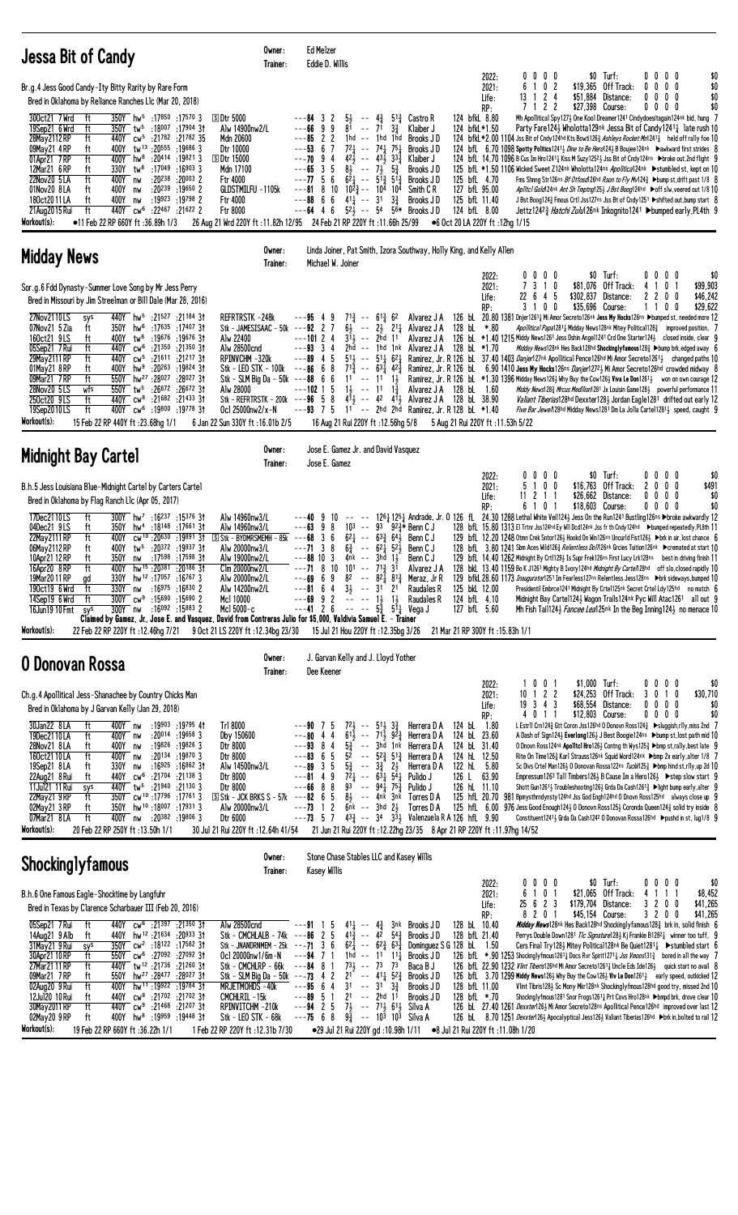| <b>Jessa Bit of Candy</b>                                                                                                                                                                                                                                                                                                                                                                                                                                                                                                                                                                                                                                                                                                                                                                                                                                                                                                                                                                                                 | Owner:<br>Trainer:                                                                                                                                                                                                                                                                     | Ed Melzer<br>Eddie D. Willis                                                                                                                                                                                                                                                                                                                                                                                                                                                                                                                                                                         |                                                                                                                                                                                                                                                                                                                                                                                                                                                                                         |                                                                                                                                                   |                                                                                                                                                                                                                                                                                                                                                                                                                                                                                                                                                                                                                                                                                                                                                                                                                                                                                                                                                                                                                                                                                                                                                                                                                                                                          |
|---------------------------------------------------------------------------------------------------------------------------------------------------------------------------------------------------------------------------------------------------------------------------------------------------------------------------------------------------------------------------------------------------------------------------------------------------------------------------------------------------------------------------------------------------------------------------------------------------------------------------------------------------------------------------------------------------------------------------------------------------------------------------------------------------------------------------------------------------------------------------------------------------------------------------------------------------------------------------------------------------------------------------|----------------------------------------------------------------------------------------------------------------------------------------------------------------------------------------------------------------------------------------------------------------------------------------|------------------------------------------------------------------------------------------------------------------------------------------------------------------------------------------------------------------------------------------------------------------------------------------------------------------------------------------------------------------------------------------------------------------------------------------------------------------------------------------------------------------------------------------------------------------------------------------------------|-----------------------------------------------------------------------------------------------------------------------------------------------------------------------------------------------------------------------------------------------------------------------------------------------------------------------------------------------------------------------------------------------------------------------------------------------------------------------------------------|---------------------------------------------------------------------------------------------------------------------------------------------------|--------------------------------------------------------------------------------------------------------------------------------------------------------------------------------------------------------------------------------------------------------------------------------------------------------------------------------------------------------------------------------------------------------------------------------------------------------------------------------------------------------------------------------------------------------------------------------------------------------------------------------------------------------------------------------------------------------------------------------------------------------------------------------------------------------------------------------------------------------------------------------------------------------------------------------------------------------------------------------------------------------------------------------------------------------------------------------------------------------------------------------------------------------------------------------------------------------------------------------------------------------------------------|
| Br.g.4 Jess Good Candy-Ity Bitty Rarity by Rare Form<br>Bred in Oklahoma by Reliance Ranches L1c (Mar 20, 2018)<br>350Y hw <sup>5</sup> :17850 :17570 3<br>300ct21 7Wrd<br>ft<br>19Sep21 6 Wrd<br>ft<br>350Y tw <sup>5</sup> :18007 :17904 31<br>28May 2112 RP<br>ft<br>440Y cw <sup>5</sup> :21782 :21782 35<br>tw <sup>13</sup> :20555:196863<br>400Y<br>09May21 4RP<br>ft<br>01Apr21 7RP<br>ft<br>$400Y$ hw <sup>8</sup><br>:20414 :19821 3<br>:17049<br>$:16903$ 3<br>12Mar21 6RP<br>330Y<br>tw <sup>8</sup><br>ft<br>$:20^{238}$<br>$:20003$ 2<br>ft<br>$400Y$ nw<br>22Nov20 5LA<br>01Nov20 8LA<br>$:20^{239}$ $:19^{650}$ 2<br>400Y<br>ft<br>nw<br>180ct2011LA<br>ft<br>:19923:197982<br>400Y<br>nw<br>ft<br>:22467 :21622 2<br>440Y cw <sup>6</sup><br>21 Aug 2015 Rui<br>Workout(s):<br>•11 Feb 22 RP 660Y ft:36.89h 1/3                                                                                                                                                                                          | <b>50tr 5000</b><br>Alw 14900nw2/L<br>Mdn 20600<br>Dtr 10000<br><b>SDtr 15000</b><br>Mdn 17100<br>Ftr 4000<br>GLDSTMILFU -1105k<br><b>Ftr 4000</b><br>Ftr 8000<br>26 Aug 21 Wrd 220Y ft: 11.82h 12/95                                                                                  | 51<br>---84 3<br>2<br>$\sim$ $\sim$<br>81<br>71<br>---66<br>9<br>9<br>$\sim$ $-$<br>$---85$ 2 2<br>$--$ 1hd<br>1hd<br>$7^{2}$ <sup>1</sup><br>$--$ 74 $\frac{1}{4}$ 75 $\frac{1}{4}$<br>$--53$<br>67<br>$42\frac{1}{2}$ -- $43\frac{1}{2}$<br>---70<br>94<br>$8\frac{1}{2}$ -- $7\frac{1}{2}$<br>3 <sub>5</sub><br>---65<br>6<br>$6\overline{2}$ <sub>4</sub> -- $5\overline{1}$ <sub>3</sub> $5\overline{1}$ <sub>3</sub><br>$---77.5$<br>$10 \t10^{2}$ $\frac{3}{4}$ $- \t10^{4} \t10^{4}$<br>$---818$<br>$---88666$<br>$41\frac{1}{4}$ -- 31<br>$---64$ 4 6<br>24 Feb 21 RP 220Y ft :11.66h 25/99 | 124 bfkL 8.80<br>4 $\frac{3}{4}$ 5 <sup>1</sup> $\frac{3}{4}$ Castro R<br>$3\frac{3}{4}$<br>Klaiber J<br>124 bfkL*1.50<br>1hd<br>Brooks JD<br>Brooks J D<br>$33\frac{3}{4}$<br>Klaiber J<br>$5\frac{3}{4}$<br>Brooks JD<br>125 bfL 4.70<br>Brooks JD<br>127 bfL 95.00<br>Smith C R<br>$3\frac{3}{4}$<br>Brooks JD<br>125 bfL 11.40<br>$5^{2}$ $\frac{1}{2}$ -- 54 5 <sup>6</sup> Brooks J D<br>124 bfL 8.00<br>●6 Oct 20 LA 220Y ft:12hg 1/15                                           | $0\ 0\ 0\ 0$<br>2022:<br>2021:<br>6<br>1 0 2<br>13 1 2 4<br>\$51,884<br>Life:<br>7122<br>RP:                                                      | \$0 Turf:<br>00<br>00<br>\$0<br>\$0<br>\$19,365 Off Track:<br>$0\quad 0$<br>0<br>0<br>Distance:<br>$0\quad 0$<br>\$0<br>0<br>0<br>\$0<br>\$27.398 Course:<br>0<br>$0\quad 0$<br>0<br>Mh Apollitical Spy1273 One Kool Dreamer1241 Cindydoesitagain124nk bid, hung 7<br>Party Fare1243 Wholotta129nk Jessa Bit of Candy12411 late rush 10<br>124 bfkL *2.00 1104 Jss Bit of Cndy124hd Kts Bowti1263 Ashleys Rocket Mn12413 held off rally foe 10<br>124 bfl 6.70 1098 Spotty Politics 1241 <sup>3</sup> Dine to Be Herol 24 <sup>3</sup> B Boujee 124nk Dawkward first strides 8<br>124 bfL 14.70 1096 B Cus Im Hro1241 <sup>1</sup> Kiss M Suzy1252 <sup>1</sup> Jss Bit of Cndy124ns > broke out, 2nd flight 9<br>125 bfL *1.50 1106 Wicked Sweet Z124nk Wholotta124ns Apolitica124nk >stumbled st, kept on 10<br>Fms Shnng Str126ns Bf Otfosd126hd Rson to Fly Mv1243 ▶bump st, drift past 1/8 8<br>Apiltcl Gold124nk Ant Sh Tmptng125} J Bst Boog124hd ▶off slw, veered out 1/8 10<br>J Bst Boog124½ Fmous Crt1 Jss127ns Jss Bt of Cndy1251 ▶ shifted out, bump start 8<br>Jettz124 <sup>2</sup> <i>a Hatchi Zulu</i> 126nk Inkognito1241 ▶bumped early, PL4th 9                                                                                                       |
| <b>Midday News</b>                                                                                                                                                                                                                                                                                                                                                                                                                                                                                                                                                                                                                                                                                                                                                                                                                                                                                                                                                                                                        | Owner:<br>Trainer:                                                                                                                                                                                                                                                                     | Michael W. Joiner                                                                                                                                                                                                                                                                                                                                                                                                                                                                                                                                                                                    | Linda Joiner, Pat Smith, Izora Southway, Holly King, and Kelly Allen                                                                                                                                                                                                                                                                                                                                                                                                                    |                                                                                                                                                   |                                                                                                                                                                                                                                                                                                                                                                                                                                                                                                                                                                                                                                                                                                                                                                                                                                                                                                                                                                                                                                                                                                                                                                                                                                                                          |
| Sor.g.6 Fdd Dynasty-Summer Love Song by Mr Jess Perry<br>Bred in Missouri by Jim Streelman or Bill Dale (Mar 28, 2016)<br>27Nov2110LS<br>140Y hw <sup>5</sup> :21527 :21184 31<br>sys<br>07Nov21 5 Zia<br>350Y hw <sup>6</sup> :17635 :17407 31<br>ft<br>160ct21 9LS<br>400Y tw <sup>8</sup> :19676 :19676 3t<br>ft<br>ft<br>05Sep21 7 Rui<br>440Y cw <sup>6</sup> :21350 :21350 31<br>ft<br>29May 2111 RP<br>440Y cw <sup>5</sup> :21611<br>:21217 31<br>01May 21 8 RP<br>ft<br>400Y<br>hw <sup>9</sup><br>:20263<br>:19824 3†<br>550Y hw <sup>27</sup> :28027<br>09Mar21 7RP<br>ft<br>:28027 31<br>$:26672$ 31<br>28Nov20 5LS<br>550Y tw <sup>5</sup><br>:26672<br>wfs<br>250ct20 9LS<br>ft<br>440Y cw <sup>8</sup><br>:21 <sup>682</sup> :21 <sup>433</sup> 31<br>:19800 :19778 3†<br>19Sep2010LS<br>ft<br>400Y cw <sup>6</sup><br>Workout(s):<br>15 Feb 22 RP 440Y ft: 23.68hg 1/1                                                                                                                                    | REFRTRSTK-248k<br>Stk - JAMESISAAC - 50k $--92$ 2 7<br>Alw 22400<br>Alw 28500cnd<br>RPINVCHM-320k<br>Stk - LEO STK - 100k $-$ --86 6 8<br>Stk - SLM Big Da - $50k$ ---88 6 6<br>Alw 28000<br>Stk - REFRTRSTK - 200k ---96 5 8<br>Ocl 25000nw2/x-N<br>6 Jan 22 Sun 330Y ft: 16.01b 2/5  | $7^{13}$ -- $6^{13}$ 6 <sup>2</sup><br>$---95$ 4 9<br>$---10124$<br>$3\overline{1}$<br>$--$ 2hd 11<br>$---93 \quad 3 \quad 4$<br>$2hd - - 1hd$ 1nk<br>$---89$ 4 5<br>$51\frac{1}{2}$ -- $51\frac{1}{4}$ $62\frac{1}{4}$<br>$7^{1\frac{5}{4}}$<br>$- - 63\frac{1}{4}$ 42 $\frac{3}{4}$<br>$11$ -- $11$ $1\frac{1}{2}$<br>$1\frac{1}{2}$<br>---102 1 5<br>$--$ 11<br>$--93$ 7 5<br>16 Aug 21 Rui 220Y ft: 12.56hg 5/8                                                                                                                                                                                  | Alvarez J A<br>$6\frac{1}{2}$ -- $2\frac{1}{2}$ 2 <sup>1</sup> $\frac{1}{4}$ Alvarez J A<br>128 bL *.80<br>Alvarez J A<br>Alvarez J A 128 bL *1.70<br>$1\frac{3}{7}$<br>Alvarez J A 128 bL 1.60<br>$4^{11}$ <sub>2</sub> -- 4 <sup>2</sup> 4 <sup>1</sup> <sub>2</sub> Alvarez J A 128 bl 38.90<br>11 -- 2hd 2hd Ramirez, Jr. R 128 bL *1.40                                                                                                                                            | $0\ 0\ 0\ 0$<br>2022:<br>7 3 1 0<br>\$81,076<br>2021:<br>22<br>6 4 5<br>\$302,837<br>Life:<br>3 1 0 0<br>RP:<br>5 Aug 21 Rui 220Y ft: 11.53h 5/22 | 0 <sub>0</sub><br>\$0 Turf:<br>$0\quad 0$<br>\$0<br>Off Track:<br>0 <sub>1</sub><br>\$99,903<br>41<br>\$46,242<br>Distance:<br>2200<br>\$35,696 Course:<br>0<br>\$29,622<br>0<br>11<br>126 bL 20.80 1381 Dnjer12611 Mi Amor Secreto126nk Jess My Hocks126ns >bumped st, needed more 12<br>Apollitical Papa12811 Midday News128nk Mitey Political1283 improved position, 7<br>126 bl *1.40 1215 Middy News1261 Jess Dshin Angel1241 Crd One Starter124 $\frac{1}{2}$ closed inside, clear 9<br><i>Midday News</i> 128nk Hes Back128hd Shockinglyfamous128 <sup>3</sup> ▶bump brk,edged away 6<br>Ramirez, Jr. R 126 bl. 37.40 1403 Danjer127 <sup>nk</sup> Apollitical Pence126 <sup>hd</sup> Mi Amor Secreto126 <sup>1</sup> 2 changed paths 10<br>Ramirez, Jr. R 126 bl. 6.90 1410 Jess My Hocks126ns Danjer12723 Mi Amor Secreto126hd crowded midway 8<br>Ramirez, Jr. R 126 bL *1.30 1396 Midday News126½ Why Buy the Cow126½ Viva Le Don1261½ won on own courage 12<br><i>Middy News</i> 128 $\frac{3}{4}$ <i>Mrcus Medilion</i> 1281 Jx Louisin Game128 $\frac{1}{2}$ powerful performance 11<br>Valiant Tiberias128hd Dexxter1281 Jordan Eagle1281 drifted out early 12<br>Five Bar Jewe/128hd Midday News1281 Dm La Jolla Cartel1281 <sub>2</sub> speed, caught 9 |
| <b>Midnight Bay Cartel</b>                                                                                                                                                                                                                                                                                                                                                                                                                                                                                                                                                                                                                                                                                                                                                                                                                                                                                                                                                                                                | Owner:<br>Trainer:                                                                                                                                                                                                                                                                     | Jose E. Gamez Jr. and David Vasquez<br>Jose E. Gamez                                                                                                                                                                                                                                                                                                                                                                                                                                                                                                                                                 |                                                                                                                                                                                                                                                                                                                                                                                                                                                                                         |                                                                                                                                                   |                                                                                                                                                                                                                                                                                                                                                                                                                                                                                                                                                                                                                                                                                                                                                                                                                                                                                                                                                                                                                                                                                                                                                                                                                                                                          |
| B.h.5 Jess Louisiana Blue-Midnight Cartel by Carters Cartel<br>Bred in Oklahoma by Flag Ranch Llc (Apr 05, 2017)<br>17Dec2110LS<br>ft<br>$300Y$ hw <sup>7</sup> :16 <sup>237</sup> :15376 31<br>04Dec21 9LS<br>hw <sup>4</sup> :18148:1766131<br>ft<br>350Y<br>ft<br>cw <sup>10</sup> :20 <sup>630</sup> :1989131<br>22May 2111 RP<br>400Y<br>06May 2112 RP<br>400Y<br>$tw^5$ :20372 :19937 31<br>ft<br>10Apr21 12 RP<br>ft<br>350Y<br>:17 <sup>598</sup> :17 <sup>598</sup> 31<br>nw<br>ft<br>hw <sup>15</sup> :20381:20186 31<br>16Apr20 8RP<br>400Y<br>330Y<br>19Mar20 11 RP<br>16 <sup>767</sup> 17 <sup>057</sup> 16 <sup>767</sup><br>gd<br>:16975 :16830 2<br>190ct19 6Wrd<br>ft<br>330Y nw<br>300Y cw <sup>9</sup> :15690 :15690 2<br>14Sep19 6 Wrd<br>ft<br>:16 <sup>092</sup> :15 <sup>883</sup> 2<br>16Jun19 10 Fmt<br>300Y nw<br>sys<br>Claimed by Gamez, Jr., Jose E. and Vasquez, David from Contreras Julio for \$5,000, Valdivia Samuel E. - Trainer<br>Workout(s):<br>22 Feb 22 RP 220Y ft: 12.46hg 7/21 | Alw 14960nw3/L<br>Alw 14960nw3/L<br>$S$ Stk - BYDMRSMEMH - 85k ---68<br>Alw 20000nw3/L<br>Alw 19000nw2/L<br>Clm 20000nw2/L<br>Alw 20000nw2/L<br>Alw 14200nw2/L<br>Mc1 10000<br>Mcl 5000-c<br>9 Oct 21 LS 220Y ft: 12.34bg 23/30                                                        | 9<br>10<br>$  \,$<br>---63<br>9<br>8<br>103<br>93<br>$\sim$ $\sim$<br>36<br>$6^{2}$<br>$-- 63\frac{3}{2} 64\frac{1}{2}$<br>$---713$<br>8<br>$6\frac{3}{4}$<br>$-- 62\frac{1}{4}$ 52 $\frac{1}{2}$<br>$---88$ 10 3<br>$4nk$ -- $3hd$ $1\frac{1}{2}$<br>$---71$ 8 10<br>$101 - -71\frac{3}{4}3\overline{1}$<br>---69<br>69<br>$---81$ 6 4<br>$3\frac{1}{2}$ -- $31$ 21<br>$---69$ 9 2<br>$  1\frac{1}{2}$ $1\frac{1}{2}$<br>$---41 2 6 ---$<br>15 Jul 21 Hou 220Y ft: 12.35bg 3/26                                                                                                                     | $92\frac{3}{7}$ Benn C J<br>Benn C J<br>Benn C J<br>Benn C J<br>Alvarez J A<br>$8^2$ -- $8^2\frac{1}{4}$ $8^{13}\frac{3}{4}$ Meraz, Jr R<br>Raudales R<br>125 bkL 12.00<br>124 bfL 4.10<br>Raudales R<br>$5\frac{5}{4}$ $5^{1}$ Vega J<br>127 bfL 5.60<br>21 Mar 21 RP 300Y ft: 15.83h 1/1                                                                                                                                                                                              | 2022:<br>$0\,0\,0$<br>2021:<br>5 1 0 0<br>\$16,763<br>11 2 1 1<br>Life:<br>6 1 0 1<br>RP:                                                         | $$0$ Turf:<br>$0\quad 0$<br>\$0<br>$0\quad 0$<br>Off Track:<br>$\mathbf{2}$<br>0 <sub>0</sub><br>\$491<br>0<br>\$26,662 Distance:<br>0000<br>\$0<br>\$0<br>\$18,603 Course:<br>$0\ 0\ 0\ 0$<br>1261 1251 Andrade, Jr. 0 126 fl. 24.30 1288 Lethal White Veil1243 Jess On the Run1241 Bustling126ns >broke awkwardly 12<br>128 bfl 15.80 1313 El Trtnr Jss124hd Ey WII Dcd124nk Jss fr th Cndy124hd Dbumped repeatedly, PL8th 11<br>129 bfL 12.20 1248 Otmn Crek Sntor126½ Hookd On Win126ns Uncurld Fist126½ ▶brk in air, lost chance 6<br>128 bfl. 3.80 1241 Sbm Aces Wild1263 Relentless Doll126nk Grcies Tuition126nk >cremated at start 10<br>129 bfl. 14.40 1262 Midnight By Crt11293 Is Supr Frek126ns First Lucy Lrk128ns best in driving finish 11<br>128 bkl 13.40 1159 Bo K J1261 Mighty B Ivory 124hd Midnight By Carte/128hd off slo, closed rapidly 10<br>129 bfkl. 28.60 1173 Inaugurator1251 Im Fearless127ns Relentless Jess128ns > brk sideways, bumped 10<br>Presidentil Embrce1241 Midnight By Crte1125nk Secret Crtel Ldy125hd no match 6<br>Midnight Bay Cartel124} Wagon Trails124nk Pyc Will Atac1261 all out 9<br>Mh Fish Tail1243 Fancee Lea125nk In the Beg Inning1243 no menace 10                                                            |
| 0 Donovan Rossa                                                                                                                                                                                                                                                                                                                                                                                                                                                                                                                                                                                                                                                                                                                                                                                                                                                                                                                                                                                                           | Owner:<br>Trainer:                                                                                                                                                                                                                                                                     | J. Garvan Kelly and J. Lloyd Yother<br>Dee Keener                                                                                                                                                                                                                                                                                                                                                                                                                                                                                                                                                    |                                                                                                                                                                                                                                                                                                                                                                                                                                                                                         |                                                                                                                                                   |                                                                                                                                                                                                                                                                                                                                                                                                                                                                                                                                                                                                                                                                                                                                                                                                                                                                                                                                                                                                                                                                                                                                                                                                                                                                          |
| Ch.g.4 Apollitical Jess-Shanachee by Country Chicks Man<br>Bred in Oklahoma by J Garvan Kelly (Jan 29, 2018)<br>30Jan22 8LA<br>400Y nw<br>:19903 :19795 41<br>ft<br>19Dec2110LA<br>ft<br>$:20^{014}$ :19658 3<br>400Y nw<br>28Nov21 8LA<br>:19826 :19826 3<br>ft<br>400Y<br>nw<br>:20134 :19870 3<br>ft<br>160ct2110LA<br>400Y nw<br>330Y<br>:16925 :16862 31<br>19Sep21 8LA<br>ft<br>nw<br>22Aug21 8 Rui<br>440Y<br>$\mathsf{cw}^6$<br>:21704<br>$:21^{138}3$<br>ft<br>11Jul21 11 Rui<br>440Y tw <sup>5</sup><br>:21940<br>:211303<br>sys<br>350Y cw <sup>10</sup> :17796 :17761 3<br>22May21 9RP<br>ft<br>02May 21 3 RP<br>ft<br>hw <sup>10</sup> :18 <sup>007</sup> :179313<br>350Y<br>ft<br>:20382 :19806 3<br>07Mar21 8LA<br>400Y nw<br>Workout(s):<br>20 Feb 22 RP 250Y ft: 13.50h 1/1                                                                                                                                                                                                                              | Tr1 8000<br>Dby 150600<br>Dtr 8000<br>Dtr 8000<br>Alw 14500nw3/L<br>Dtr 8000<br>Dtr 8000<br>$\overline{S}$ Stk - JCK BRKS S - 57 $k$<br>Alw 20000nw3/L<br>Dtr 6000<br>30 Jul 21 Rui 220Y ft : 12.64h 41/54                                                                             | $72\frac{1}{2}$ -- $51\frac{1}{2}$ $3\frac{3}{4}$<br>---90 75<br>$6^{1\bar{1}}$ -- $7^{1\bar{1}}$ $9^{2\bar{3}}$<br>---80<br>44<br>$\frac{53}{4}$<br>52<br>$---93$ 8 4<br>-- 3hd 1nk<br>$---83$ 6 5<br>$---89$ 3 5<br>$5\frac{3}{4}$<br>$- - 3\frac{3}{4}$ 2 <sup>1</sup> / <sub>2</sub><br>$7^2$ <sub>4</sub> -- $6^3$ <sub>4</sub> $5^4$ <sub>4</sub><br>$--8149$<br>$---66$ 8 8<br>93<br>$-$ 94 $\frac{1}{4}$ 75 $\frac{3}{4}$<br>$8\frac{1}{2}$ -- 4nk 3nk<br>$---82$ 6 5<br>---73<br>$\mathbf{2}$<br>$6nk$ -- $3hd$ $2\frac{1}{2}$<br>$\overline{1}$<br>$---73 \quad 5 \quad 7$                 | 124 bL 1.80<br>Herrera D A<br>124 bL 23.60<br>Herrera D A<br>124 bL 31.40<br>Herrera D A<br>124 hL 12.50<br>$-$ 5 <sup>2</sup> $\frac{3}{4}$ 5 <sup>1</sup> $\frac{3}{4}$ Herrera D A<br>122 hL 5.80<br>Herrera D A<br>Pulido J<br>126 L 63.90<br>126 hL 11.10<br>Pulido J<br>125 hfL 20.70<br>Torres D A<br>Torres D A<br>125 hfL 6.00<br>$43\frac{3}{4}$ -- 34 $3\frac{3}{2}$ Valenzuela R A 126 hfl. 9.90<br>21 Jun 21 Rui 220Y ft: 12.22hg 23/35 8 Apr 21 RP 220Y ft: 11.97hg 14/52 | 001<br>2022:<br>1<br>$10$ 1 2 2<br>2021:<br>19 3 4 3<br>Life:<br>RP:<br>4011                                                                      | \$1,000 Turf:<br>0 <sub>0</sub><br>$0\quad 0$<br>\$0<br>\$24,253 Off Track:<br>1 <sub>0</sub><br>\$30,710<br>3<br>0<br>\$68,554 Distance:<br>$0\ 0\ 0$<br>0<br>\$0<br>\$0<br>\$12,803 Course:<br>0000<br>L Estrll Crn124½ Gtt Coron Jss126hd 0 Donovn Ross124½ ▶sluggish,rlly,miss 2nd 7<br>A Dash of Sign124½ Everlong126½ J Best Boogie124ns ▶bump st, lost path mid 10<br>O Dnovn Ross124nk Apolitcl Hro126} Contng th Wys125} ▶bmp st,rally, best late 9<br>Rite On Time126½ Karl Strauss126nk Squid Word124nk ▶bmp 2x early, alter 1/8 7<br>Sc Divs Crtel Man126} 0 Donovan Rossa122ns Tuckk125} >bmp hind st,rlly,up 2d 10<br>Empressum1263 Tall Timbers1263 B Cause Im a Hero1263 ▶ step slow start 9<br>Shott Gun1261 <sup>1</sup> / <sub>2</sub> Troubleshooting 126 <sup>1</sup> / <sub>2</sub> Grda Da Cash126 <sup>1</sup> / <sub>4</sub> $\blacktriangleright$ light bump early, alter 9<br>981 Bpmysthrndynsty124hd Jss God Engh124hd 0 Dnovn Ross125hd always close up 9<br>$976$ Jess Good Enough 1243 0 Donovn Ross 1253 Coronda Queen 124 $\frac{3}{4}$ solid try inside 8<br>Constituent1241 } Grda Da Cash124 2 0 Donovan Rossa126hd ▶ pushd in st, lug1/8 9                                                                                         |
| <b>Shockinglyfamous</b>                                                                                                                                                                                                                                                                                                                                                                                                                                                                                                                                                                                                                                                                                                                                                                                                                                                                                                                                                                                                   | Owner:<br>Trainer:                                                                                                                                                                                                                                                                     | Stone Chase Stables LLC and Kasey Willis<br>Kasey Willis                                                                                                                                                                                                                                                                                                                                                                                                                                                                                                                                             |                                                                                                                                                                                                                                                                                                                                                                                                                                                                                         |                                                                                                                                                   |                                                                                                                                                                                                                                                                                                                                                                                                                                                                                                                                                                                                                                                                                                                                                                                                                                                                                                                                                                                                                                                                                                                                                                                                                                                                          |
| B.h.6 One Famous Eagle-Shocktime by Langfuhr<br>Bred in Texas by Clarence Scharbauer III (Feb 20, 2016)<br>440Y cw <sup>6</sup> :21397 :21350 31<br>05Sep21 7 Rui<br>ft<br>440Y hw <sup>12</sup> :21634 :20933 31<br>14Aug21 9 Alb<br>ft<br>31May21 9 Rui<br>350Y cw <sup>2</sup> :18122 :17582 31<br>sys<br>30Apr21 10 RP<br>550Y cw <sup>6</sup> :27092 :27092 31<br>ft<br>440Y tw <sup>12</sup> :21736:2126031<br>27Mar21 11 RP<br>ft<br>09Mar21 7RP<br>hw <sup>27</sup> :28477:2802731<br>ft<br>550Y<br>02Aug20 9 Rui<br>ft<br>hw <sup>11</sup> :19922 :19784 31<br>400Y<br>12Jul20 10 Rui<br>440Y cw <sup>8</sup> :21702 :21702 31<br>ft<br>30May 2011 RP<br>ft<br>440Y cw <sup>9</sup> :21468 :21207 31<br>400Y hw <sup>8</sup> :19959 :19448 31<br>02May20 9RP<br>ft<br>Workout(s):<br>19 Feb 22 RP 660Y ft:36.22h 1/1                                                                                                                                                                                             | Alw 28500cnd<br>Stk - CMCHLALB - 74k ---86 2 5<br>Stk - JNANDRNMEM - $25k$ ---71 3 6<br>Ocl 20000nw1/6m-N<br>Stk - CMCHLRP - 66k<br>Stk - SLM Big Da - $50k$ ---73 4 2<br>MRJETMOHDS-40k<br>CMCHLRIL-15k<br>RPINVITCHM-210k<br>Stk - LEO STK - 68k<br>1 Feb 22 RP 220Y ft: 12.31b 7/30 | $41\frac{1}{4}$ -- $4\frac{3}{4}$<br>$--91$ 1 5<br>$41\frac{3}{4}$ -- $42$ $54\frac{3}{4}$<br>$62\frac{1}{4}$ -- $62\frac{3}{4}$ $63\frac{3}{4}$<br>$---94$ 7 1<br>1hd -- 11 11 <sup>1</sup> / <sub>1</sub><br>$73\frac{1}{2}$ -- $73$ $73$<br>$---84$ 8 1<br>$21^{-}$ -- $41\frac{1}{4}$ $52\frac{3}{4}$<br>$---95$ 6 4<br>3 <sup>1</sup><br>$--$ 31 $3\frac{3}{4}$<br>2 <sup>1</sup><br>---89<br>51<br>-- 2hd<br>$7\frac{1}{2}$ -- $7^{1}\frac{1}{2}$ 6 <sup>1</sup> $\frac{1}{2}$ Silva A<br>$--94$ 2 5<br>$---7568$<br>$9\frac{3}{4}$ -- 10 <sup>3</sup> 10 <sup>3</sup> Silva A                 | 3nk Brooks JD<br>128 bL 10.40<br>Brooks JD<br>128 bfL 21.40<br>Dominguez S G 128 bL 1.50<br>Brooks JD<br>Baca B J<br>Brooks JD<br>128 bfL 11.00<br>Brooks J D<br>11<br>Brooks JD<br>128 bfL *.70<br>●29 Jul 21 Rui 220Y gd: 10.98h 1/11 ●8 Jul 21 Rui 220Y ft: 11.08h 1/20                                                                                                                                                                                                              | $0\ 0\ 0\ 0$<br>2022:<br>6 1 0 1<br>2021:<br>25 6 2 3<br>Life:<br>8 2 0 1<br>RP:                                                                  | \$0 Turf:<br>$0\,0\,0\,0$<br>\$0<br>\$21,065 Off Track:<br>4 1 1<br>\$8,452<br>\$179,704 Distance:<br>\$41,265<br>3200<br>\$45,154 Course:<br>3 2 0 0<br>\$41,265<br><i>Midday News</i> 128nk Hes Back128hd Shockinglyfamous128 <sup>3</sup> brk in, solid finish 6<br>Perrys Double Down1281 Tlc Signature1283 Kj Frankie B12821 winner too tuff, 9<br>Cers Final Try1283 Mitey Political128 <sup>nk</sup> Be Quiet128 <sup>1</sup> 1 ► > Stumbled start 6<br>126 bfL $*$ .90 1253 Shocknglyfmous1261 <sub>4</sub> Docs Rvr Spirit1271 <sub>4</sub> Jss Vmoos131 <sub>4</sub> bored in all the way 7<br>126 bfl 22.90 1232 Vlint Tiberis126hd Mi Amor Secreto1261 <sub>4</sub> Uncle Eds Ide126 <sub>2</sub> quick start no avail 8<br>126 bfl. 3.70 1299 Middy News126} Why Buy the Cow126} Viv Le Don1261} early speed, outkicked 12<br>Vlint Tibris1283 Sc Mony Mkr128nk Shockinglyfmous128hd good try, missed 2nd 10<br>Shocknglyfmous1281 Snor Frogs1261 <sub>4</sub> Prt Covs Hro128nk ▶bmpd brk, drove clear 10<br>126 bl 27.40 1261 Dexxter1263 Mi Amor Secreto128ns Apollitical Pence126hd improved over last 12<br>126 bL 8.70 1251 Dexxter126} Apocalyptical Jess126} Valiant Tiberias126hd ▶brk in, bolted to rail 12                                       |